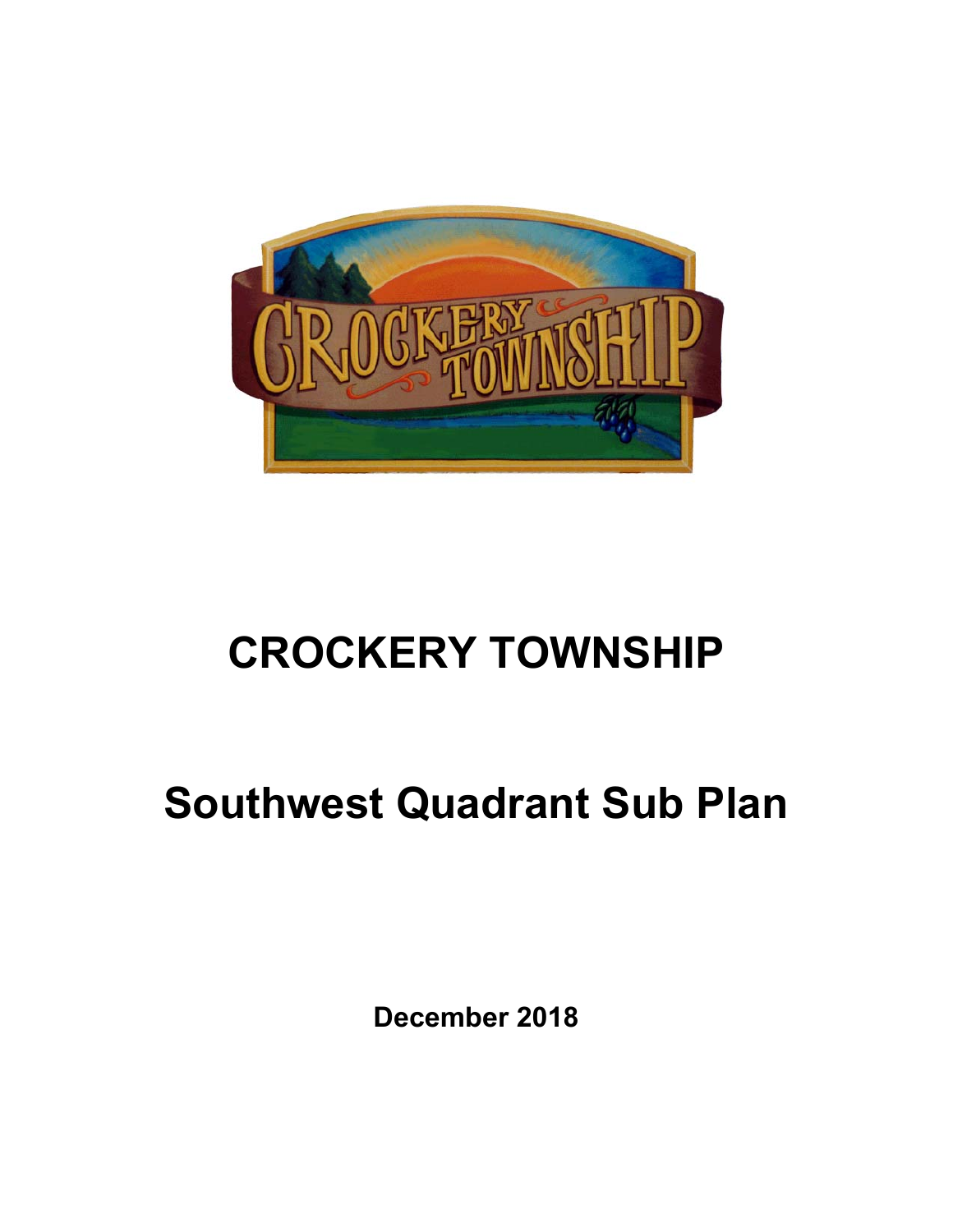

# **CROCKERY TOWNSHIP**

# **Southwest Quadrant Sub Plan**

**December 2018**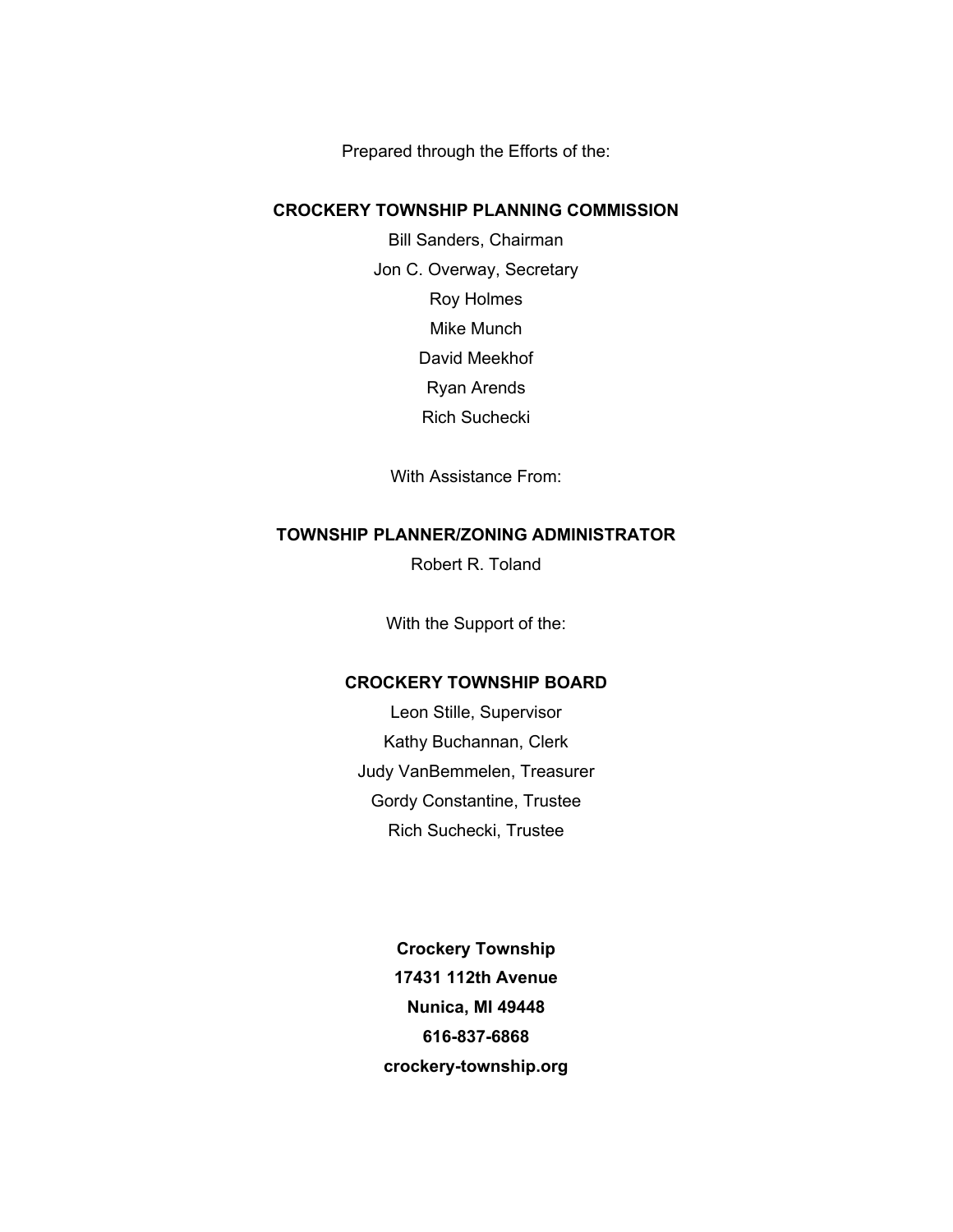Prepared through the Efforts of the:

#### **CROCKERY TOWNSHIP PLANNING COMMISSION**

Bill Sanders, Chairman Jon C. Overway, Secretary Roy Holmes Mike Munch David Meekhof Ryan Arends Rich Suchecki

With Assistance From:

## **TOWNSHIP PLANNER/ZONING ADMINISTRATOR**

Robert R. Toland

With the Support of the:

### **CROCKERY TOWNSHIP BOARD**

Leon Stille, Supervisor Kathy Buchannan, Clerk Judy VanBemmelen, Treasurer Gordy Constantine, Trustee Rich Suchecki, Trustee

> **Crockery Township 17431 112th Avenue Nunica, MI 49448 616-837-6868 crockery-township.org**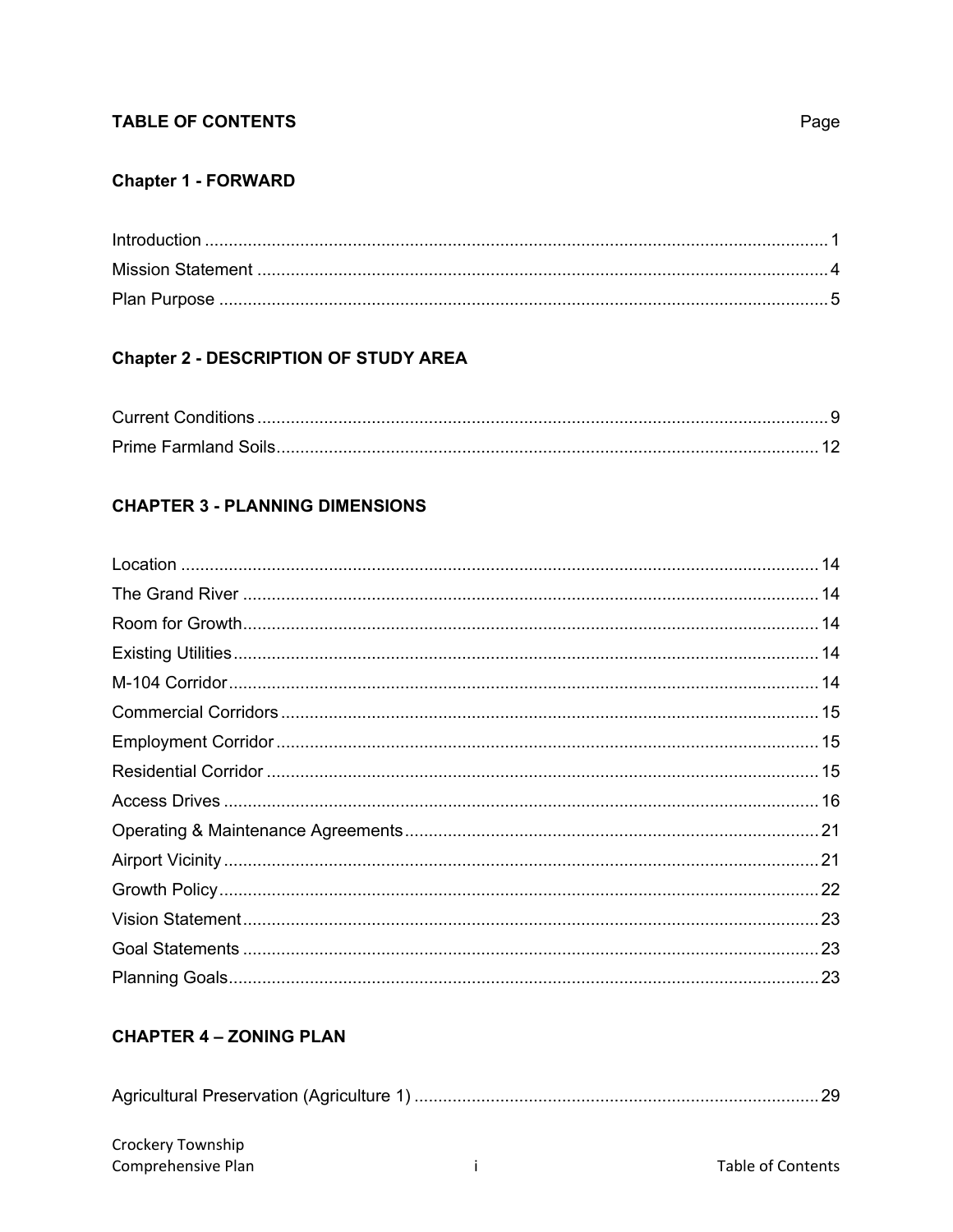# **TABLE OF CONTENTS**

# **Chapter 1 - FORWARD**

# **Chapter 2 - DESCRIPTION OF STUDY AREA**

# **CHAPTER 3 - PLANNING DIMENSIONS**

# **CHAPTER 4 - ZONING PLAN**

|--|--|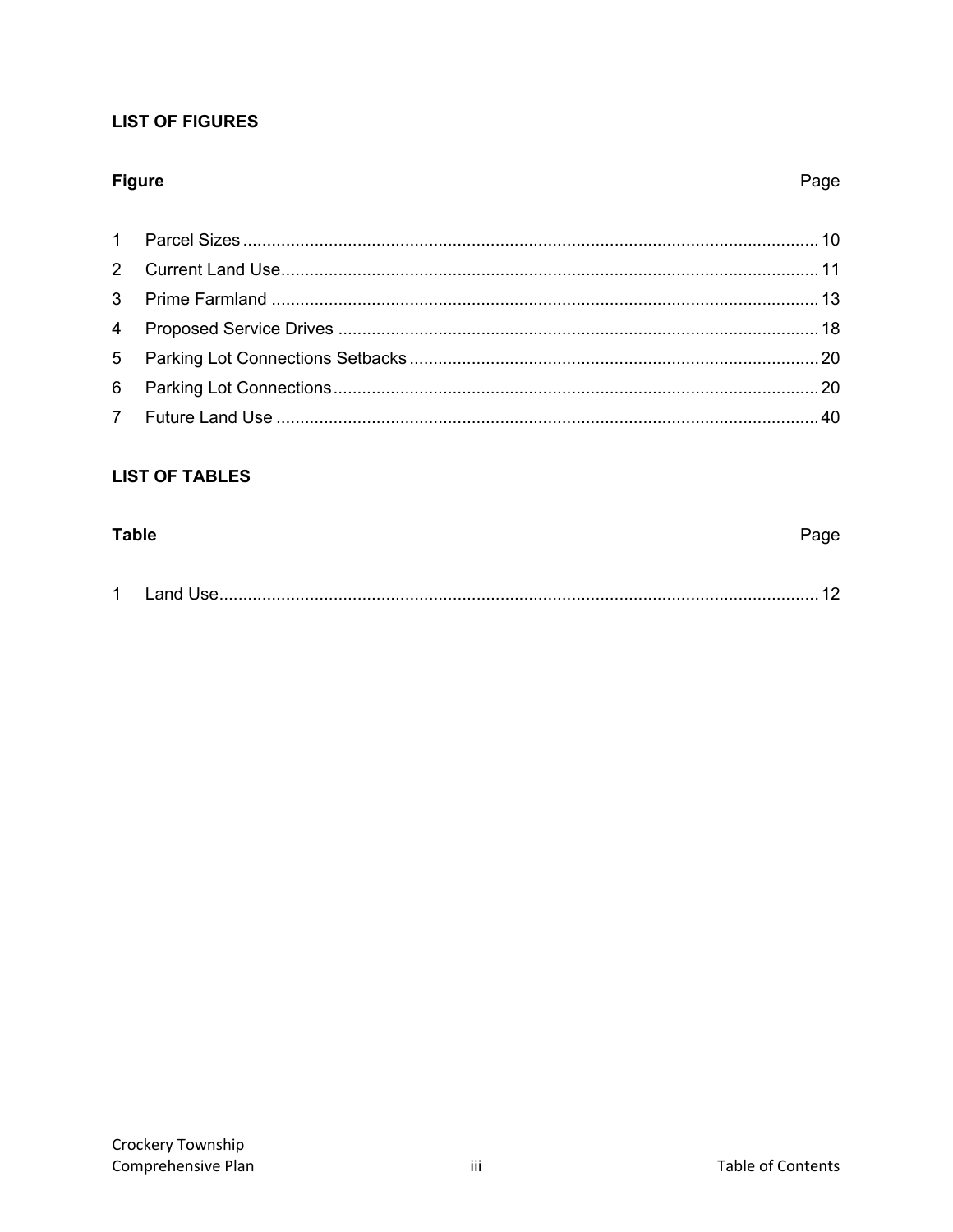# **LIST OF FIGURES**

# **Figure**

# Page

# **LIST OF TABLES**

# **Table** Page  $\mathbf{1}$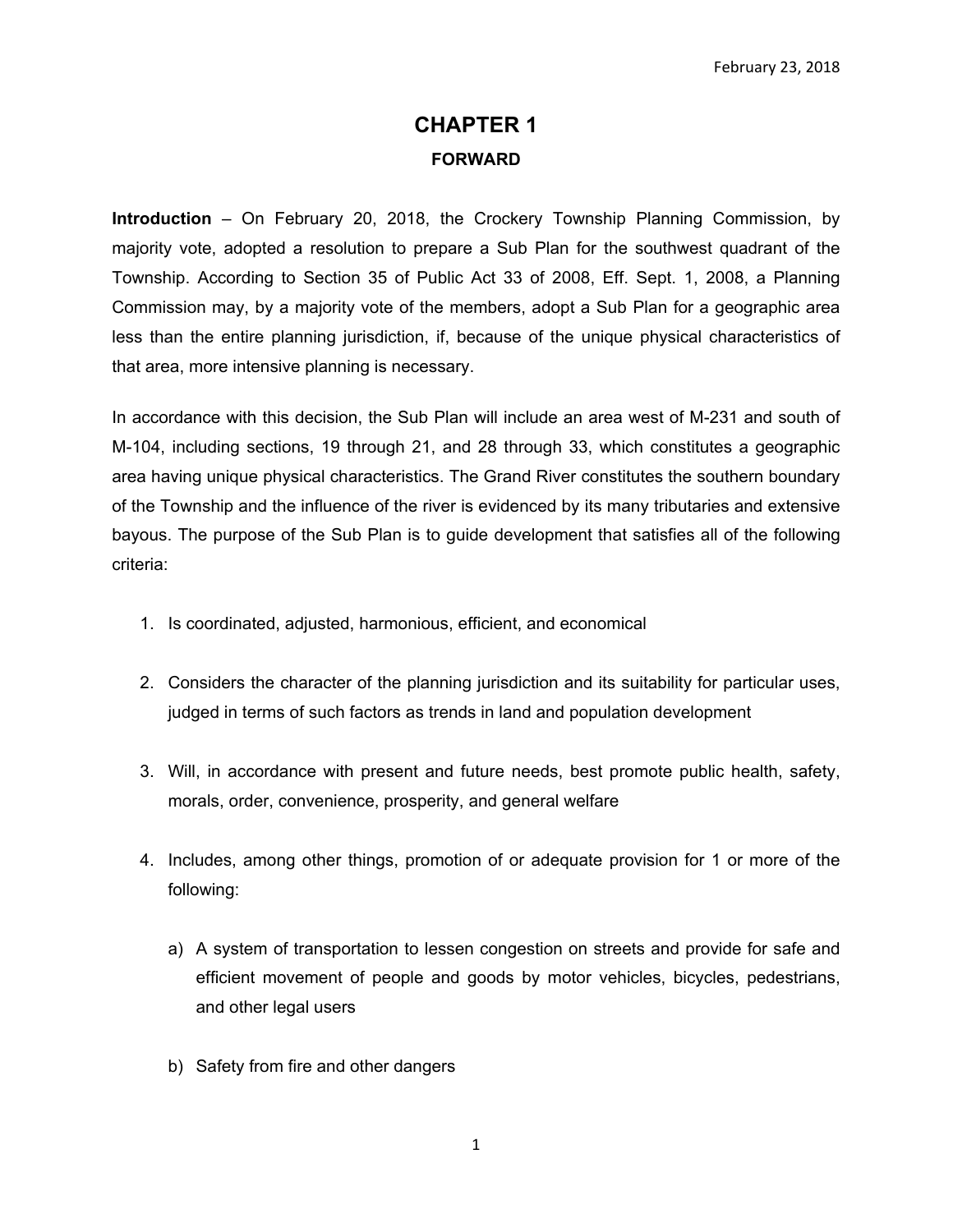# **CHAPTER 1 FORWARD**

**Introduction** – On February 20, 2018, the Crockery Township Planning Commission, by majority vote, adopted a resolution to prepare a Sub Plan for the southwest quadrant of the Township. According to Section 35 of Public Act 33 of 2008, Eff. Sept. 1, 2008, a Planning Commission may, by a majority vote of the members, adopt a Sub Plan for a geographic area less than the entire planning jurisdiction, if, because of the unique physical characteristics of that area, more intensive planning is necessary.

In accordance with this decision, the Sub Plan will include an area west of M-231 and south of M-104, including sections, 19 through 21, and 28 through 33, which constitutes a geographic area having unique physical characteristics. The Grand River constitutes the southern boundary of the Township and the influence of the river is evidenced by its many tributaries and extensive bayous. The purpose of the Sub Plan is to guide development that satisfies all of the following criteria:

- 1. Is coordinated, adjusted, harmonious, efficient, and economical
- 2. Considers the character of the planning jurisdiction and its suitability for particular uses, judged in terms of such factors as trends in land and population development
- 3. Will, in accordance with present and future needs, best promote public health, safety, morals, order, convenience, prosperity, and general welfare
- 4. Includes, among other things, promotion of or adequate provision for 1 or more of the following:
	- a) A system of transportation to lessen congestion on streets and provide for safe and efficient movement of people and goods by motor vehicles, bicycles, pedestrians, and other legal users
	- b) Safety from fire and other dangers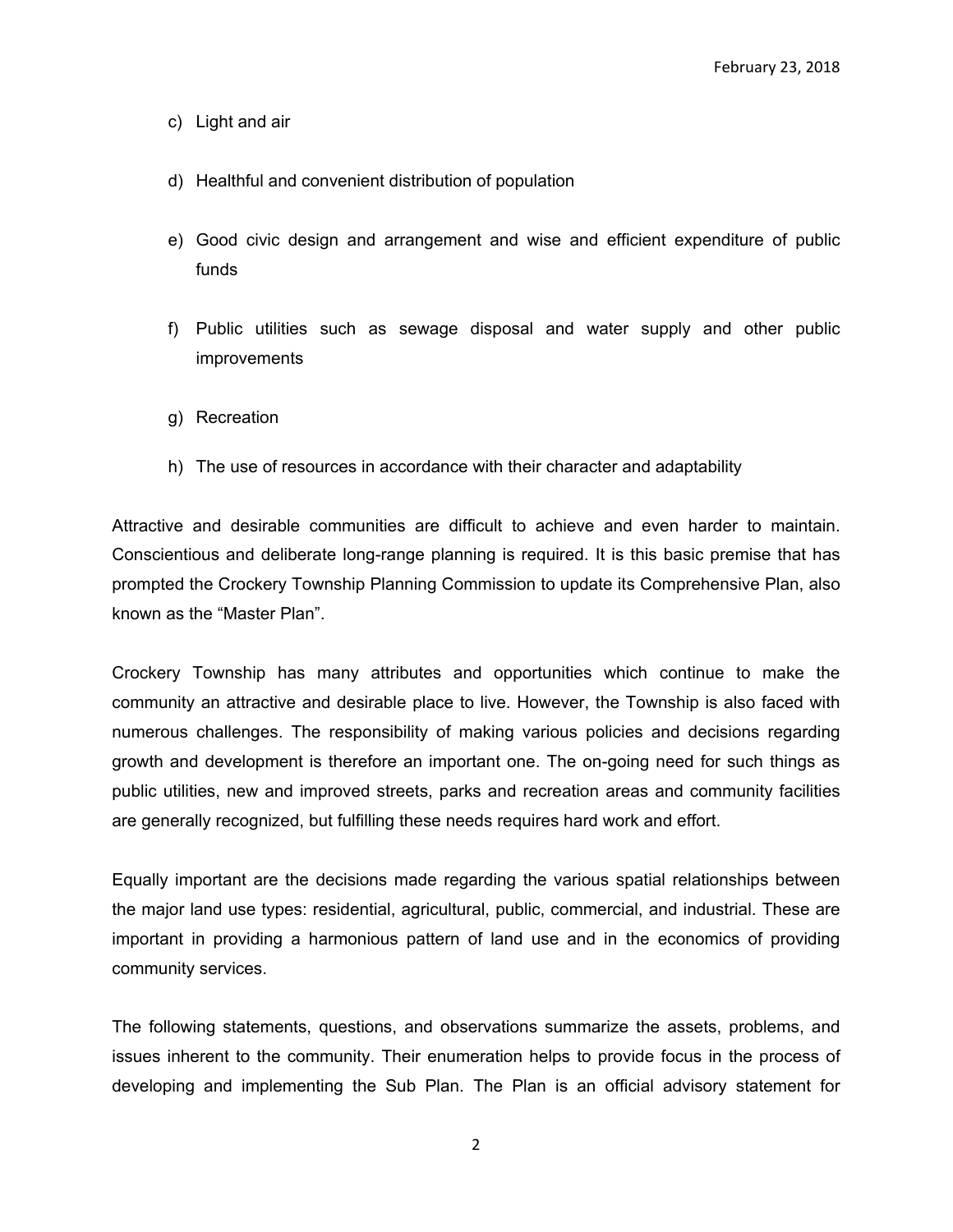- c) Light and air
- d) Healthful and convenient distribution of population
- e) Good civic design and arrangement and wise and efficient expenditure of public funds
- f) Public utilities such as sewage disposal and water supply and other public improvements
- g) Recreation
- h) The use of resources in accordance with their character and adaptability

Attractive and desirable communities are difficult to achieve and even harder to maintain. Conscientious and deliberate long-range planning is required. It is this basic premise that has prompted the Crockery Township Planning Commission to update its Comprehensive Plan, also known as the "Master Plan".

Crockery Township has many attributes and opportunities which continue to make the community an attractive and desirable place to live. However, the Township is also faced with numerous challenges. The responsibility of making various policies and decisions regarding growth and development is therefore an important one. The on-going need for such things as public utilities, new and improved streets, parks and recreation areas and community facilities are generally recognized, but fulfilling these needs requires hard work and effort.

Equally important are the decisions made regarding the various spatial relationships between the major land use types: residential, agricultural, public, commercial, and industrial. These are important in providing a harmonious pattern of land use and in the economics of providing community services.

The following statements, questions, and observations summarize the assets, problems, and issues inherent to the community. Their enumeration helps to provide focus in the process of developing and implementing the Sub Plan. The Plan is an official advisory statement for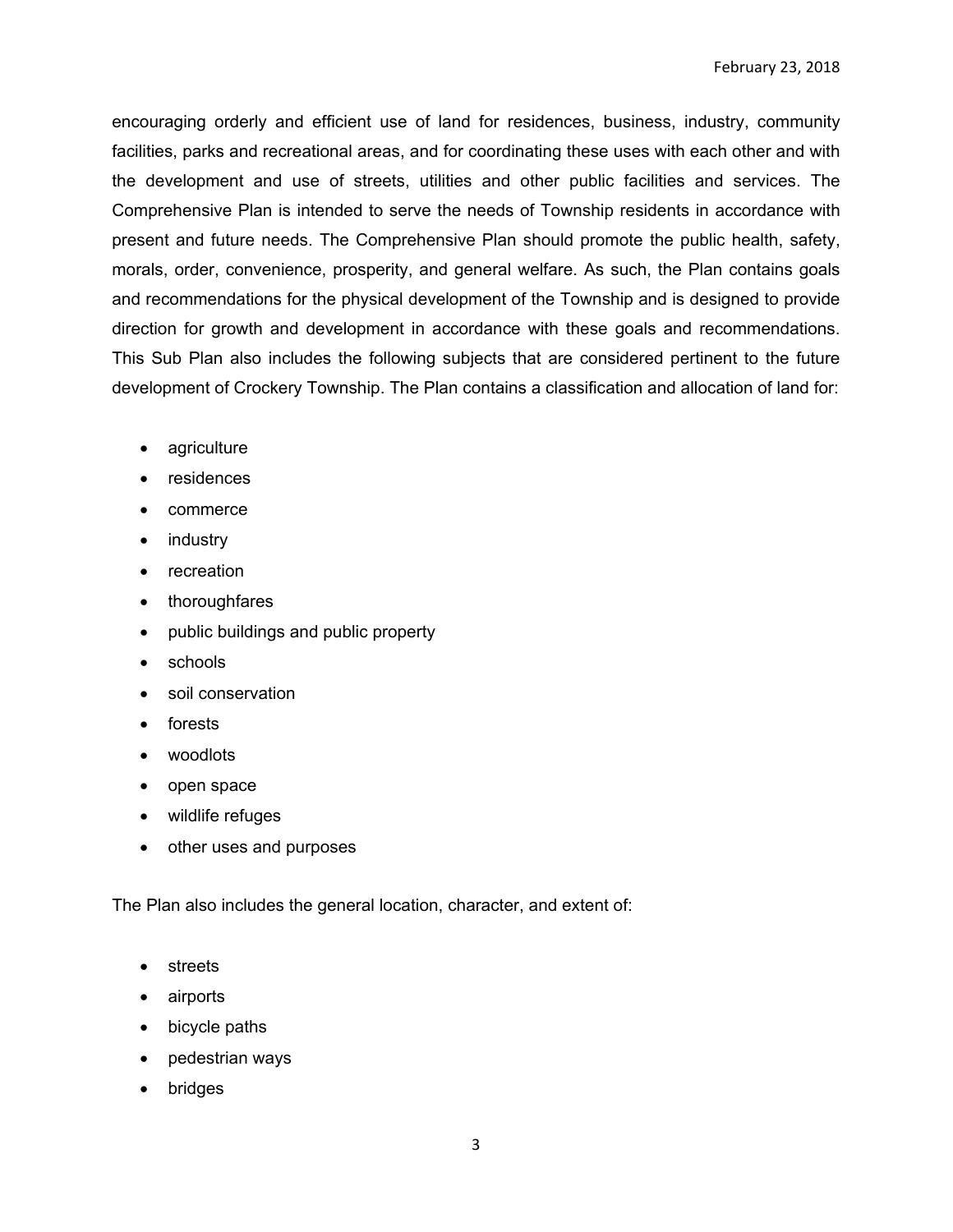encouraging orderly and efficient use of land for residences, business, industry, community facilities, parks and recreational areas, and for coordinating these uses with each other and with the development and use of streets, utilities and other public facilities and services. The Comprehensive Plan is intended to serve the needs of Township residents in accordance with present and future needs. The Comprehensive Plan should promote the public health, safety, morals, order, convenience, prosperity, and general welfare. As such, the Plan contains goals and recommendations for the physical development of the Township and is designed to provide direction for growth and development in accordance with these goals and recommendations. This Sub Plan also includes the following subjects that are considered pertinent to the future development of Crockery Township. The Plan contains a classification and allocation of land for:

- agriculture
- residences
- commerce
- industry
- recreation
- thoroughfares
- public buildings and public property
- schools
- soil conservation
- forests
- woodlots
- open space
- wildlife refuges
- other uses and purposes

The Plan also includes the general location, character, and extent of:

- streets
- airports
- bicycle paths
- pedestrian ways
- bridges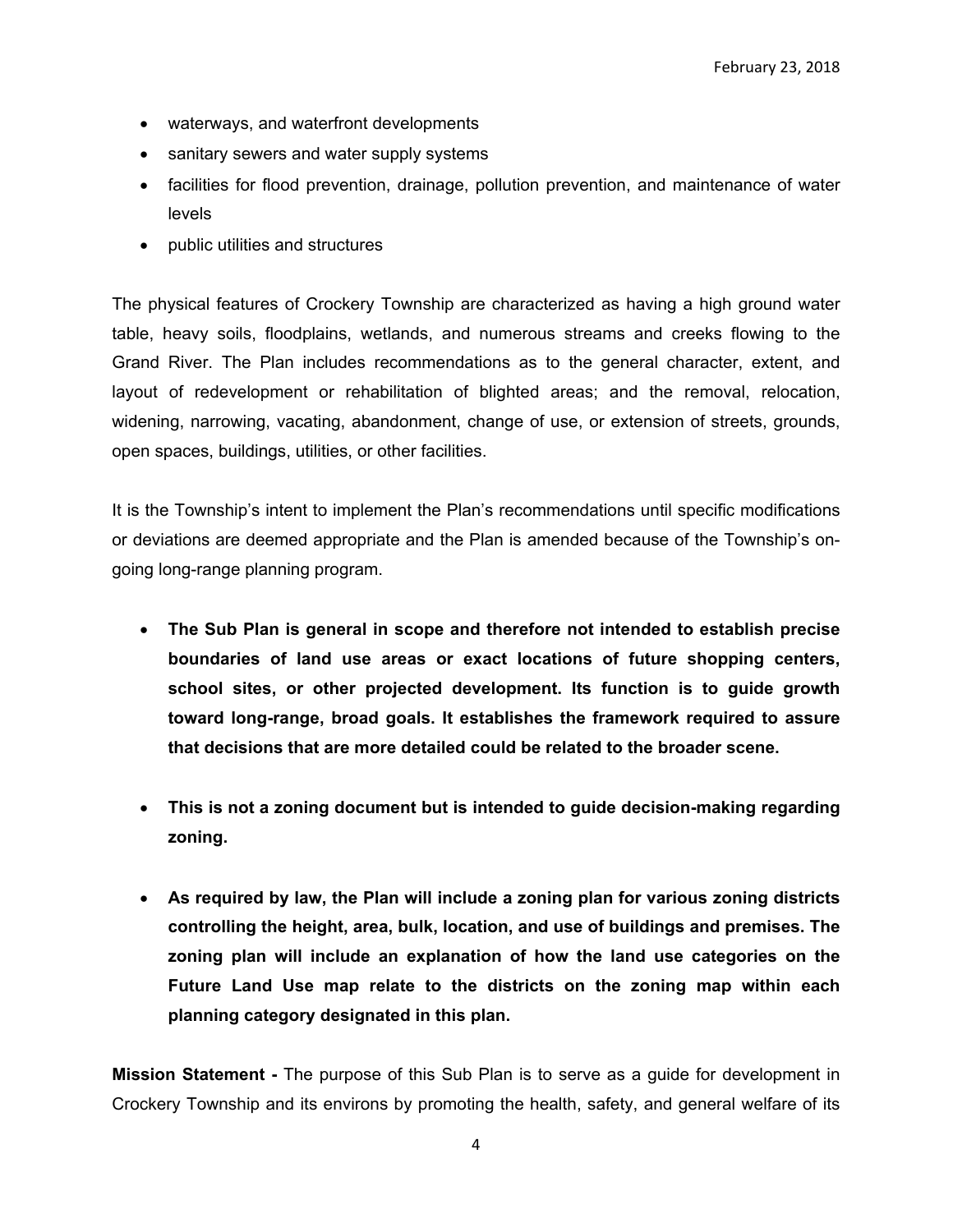- waterways, and waterfront developments
- sanitary sewers and water supply systems
- facilities for flood prevention, drainage, pollution prevention, and maintenance of water levels
- public utilities and structures

The physical features of Crockery Township are characterized as having a high ground water table, heavy soils, floodplains, wetlands, and numerous streams and creeks flowing to the Grand River. The Plan includes recommendations as to the general character, extent, and layout of redevelopment or rehabilitation of blighted areas; and the removal, relocation, widening, narrowing, vacating, abandonment, change of use, or extension of streets, grounds, open spaces, buildings, utilities, or other facilities.

It is the Township's intent to implement the Plan's recommendations until specific modifications or deviations are deemed appropriate and the Plan is amended because of the Township's ongoing long-range planning program.

- **The Sub Plan is general in scope and therefore not intended to establish precise boundaries of land use areas or exact locations of future shopping centers, school sites, or other projected development. Its function is to guide growth toward long-range, broad goals. It establishes the framework required to assure that decisions that are more detailed could be related to the broader scene.**
- **This is not a zoning document but is intended to guide decision-making regarding zoning.**
- **As required by law, the Plan will include a zoning plan for various zoning districts controlling the height, area, bulk, location, and use of buildings and premises. The zoning plan will include an explanation of how the land use categories on the Future Land Use map relate to the districts on the zoning map within each planning category designated in this plan.**

**Mission Statement -** The purpose of this Sub Plan is to serve as a guide for development in Crockery Township and its environs by promoting the health, safety, and general welfare of its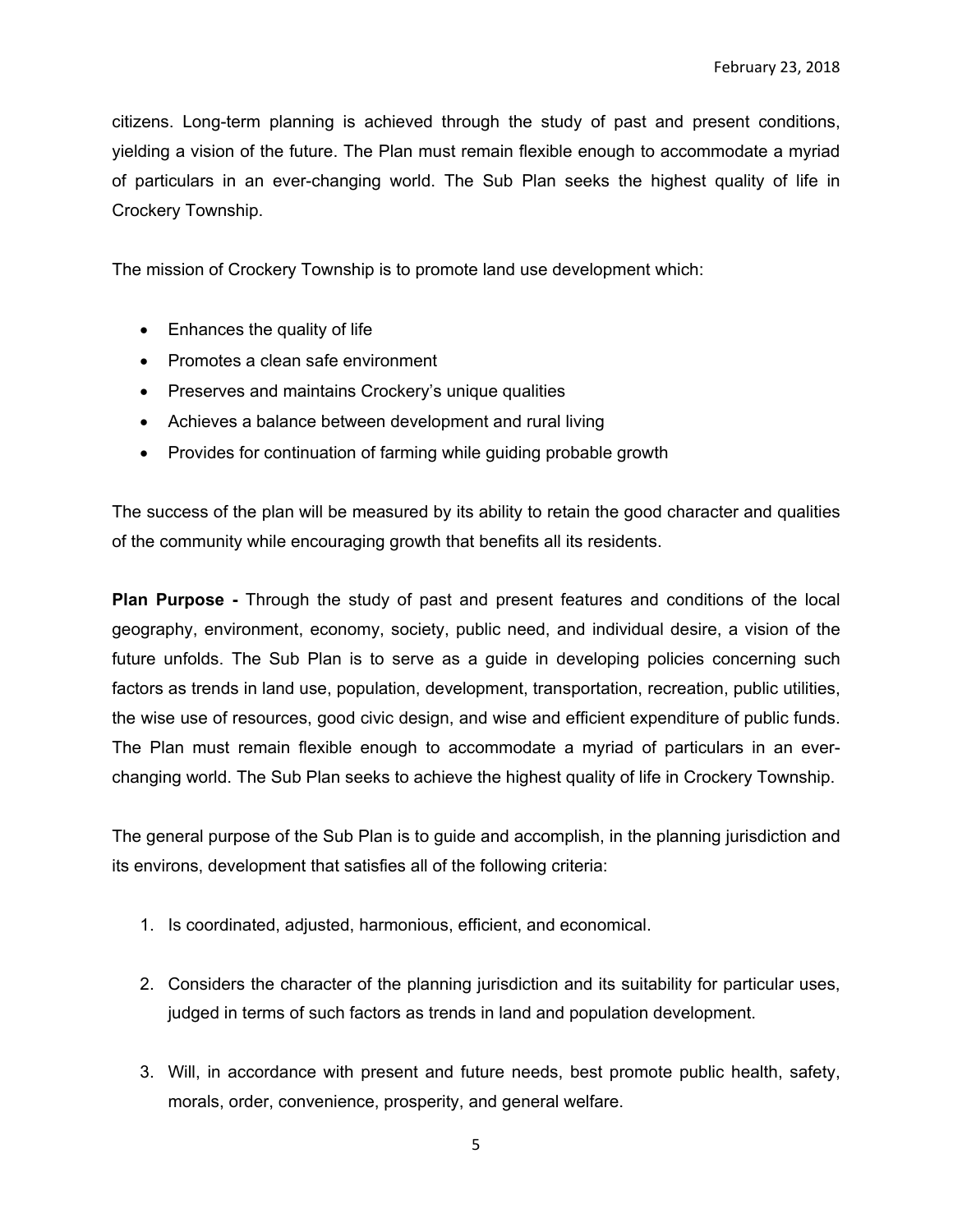citizens. Long-term planning is achieved through the study of past and present conditions, yielding a vision of the future. The Plan must remain flexible enough to accommodate a myriad of particulars in an ever-changing world. The Sub Plan seeks the highest quality of life in Crockery Township.

The mission of Crockery Township is to promote land use development which:

- Enhances the quality of life
- Promotes a clean safe environment
- Preserves and maintains Crockery's unique qualities
- Achieves a balance between development and rural living
- Provides for continuation of farming while guiding probable growth

The success of the plan will be measured by its ability to retain the good character and qualities of the community while encouraging growth that benefits all its residents.

**Plan Purpose -** Through the study of past and present features and conditions of the local geography, environment, economy, society, public need, and individual desire, a vision of the future unfolds. The Sub Plan is to serve as a guide in developing policies concerning such factors as trends in land use, population, development, transportation, recreation, public utilities, the wise use of resources, good civic design, and wise and efficient expenditure of public funds. The Plan must remain flexible enough to accommodate a myriad of particulars in an everchanging world. The Sub Plan seeks to achieve the highest quality of life in Crockery Township.

The general purpose of the Sub Plan is to guide and accomplish, in the planning jurisdiction and its environs, development that satisfies all of the following criteria:

- 1. Is coordinated, adjusted, harmonious, efficient, and economical.
- 2. Considers the character of the planning jurisdiction and its suitability for particular uses, judged in terms of such factors as trends in land and population development.
- 3. Will, in accordance with present and future needs, best promote public health, safety, morals, order, convenience, prosperity, and general welfare.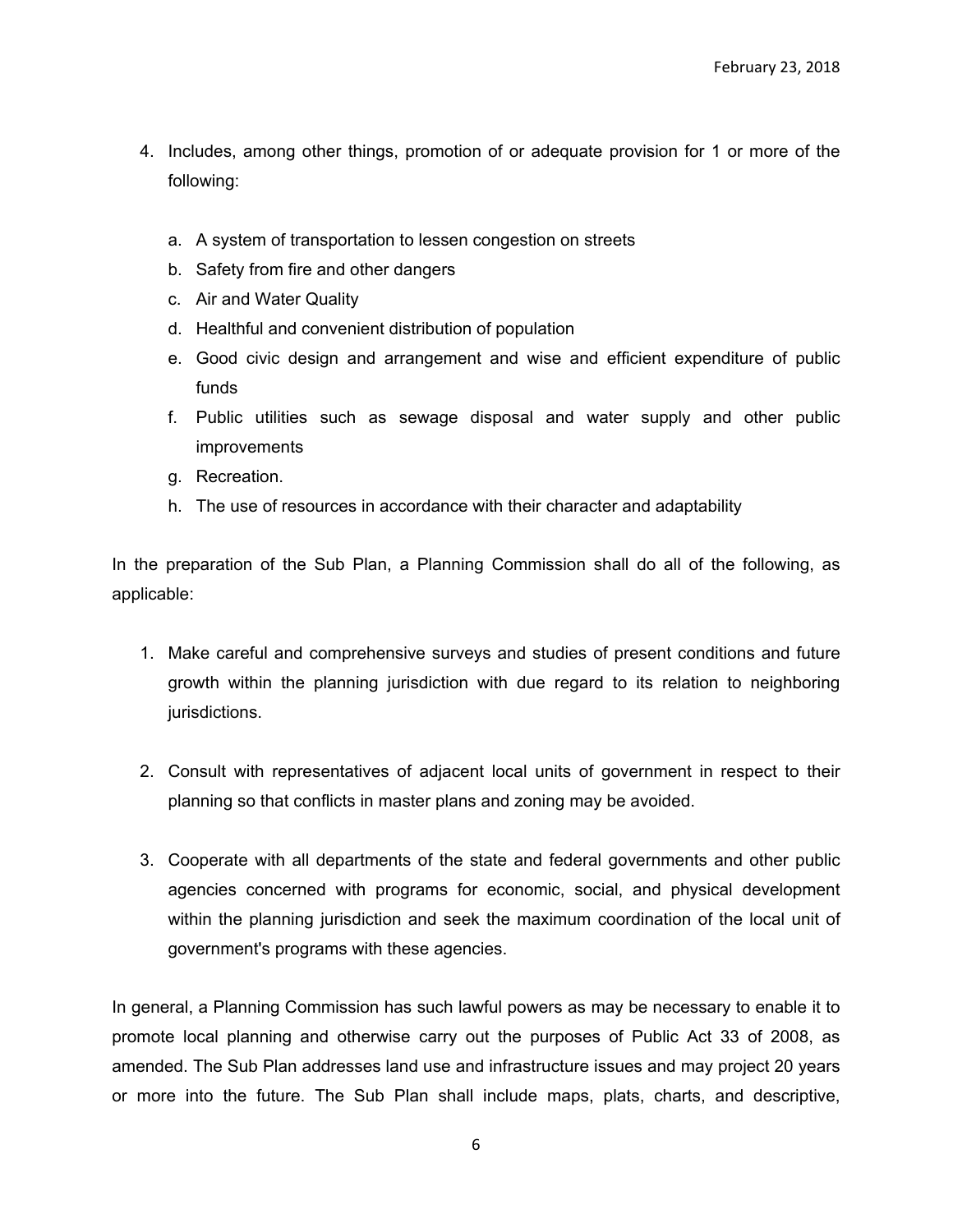- 4. Includes, among other things, promotion of or adequate provision for 1 or more of the following:
	- a. A system of transportation to lessen congestion on streets
	- b. Safety from fire and other dangers
	- c. Air and Water Quality
	- d. Healthful and convenient distribution of population
	- e. Good civic design and arrangement and wise and efficient expenditure of public funds
	- f. Public utilities such as sewage disposal and water supply and other public improvements
	- g. Recreation.
	- h. The use of resources in accordance with their character and adaptability

In the preparation of the Sub Plan, a Planning Commission shall do all of the following, as applicable:

- 1. Make careful and comprehensive surveys and studies of present conditions and future growth within the planning jurisdiction with due regard to its relation to neighboring jurisdictions.
- 2. Consult with representatives of adjacent local units of government in respect to their planning so that conflicts in master plans and zoning may be avoided.
- 3. Cooperate with all departments of the state and federal governments and other public agencies concerned with programs for economic, social, and physical development within the planning jurisdiction and seek the maximum coordination of the local unit of government's programs with these agencies.

In general, a Planning Commission has such lawful powers as may be necessary to enable it to promote local planning and otherwise carry out the purposes of Public Act 33 of 2008, as amended. The Sub Plan addresses land use and infrastructure issues and may project 20 years or more into the future. The Sub Plan shall include maps, plats, charts, and descriptive,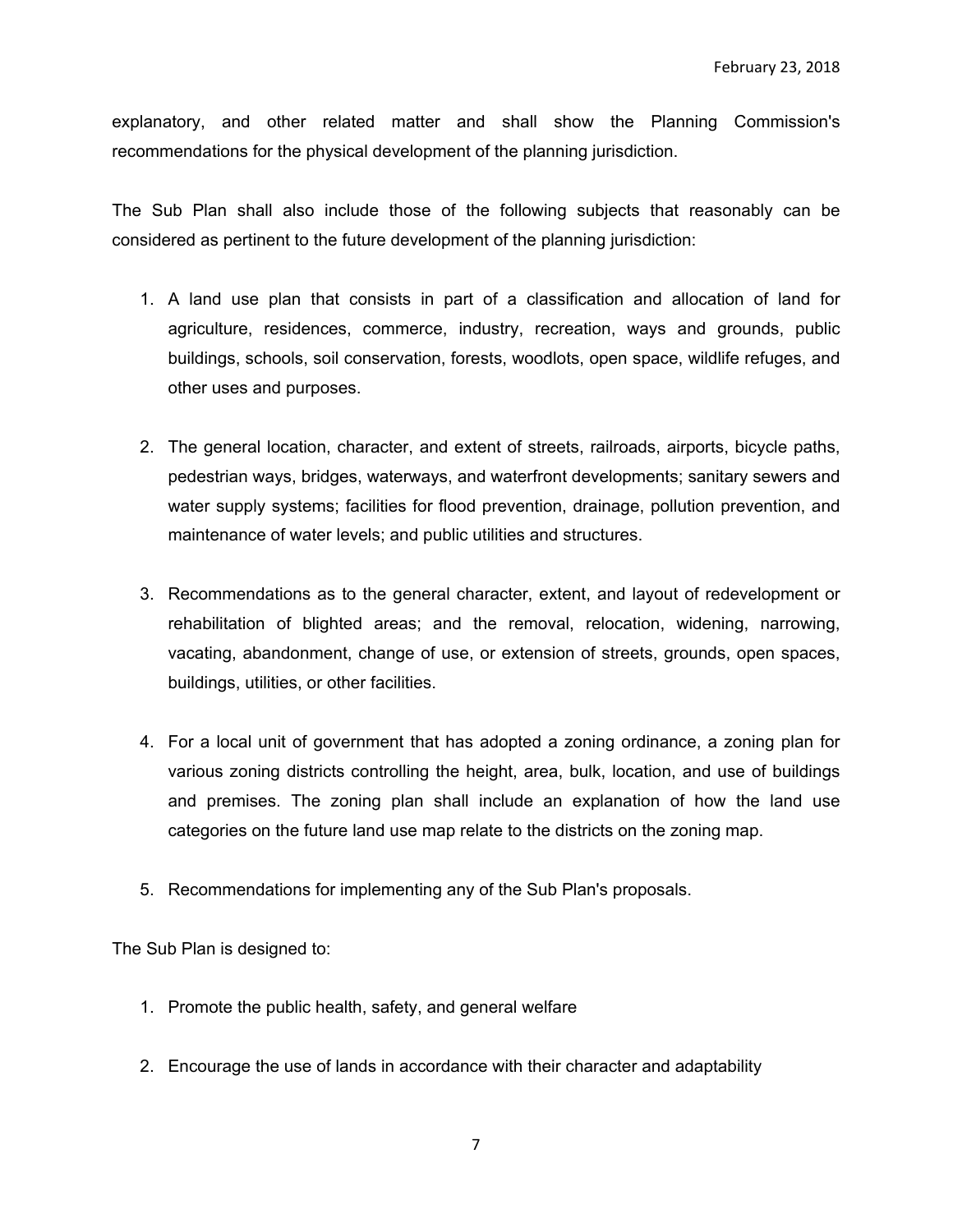explanatory, and other related matter and shall show the Planning Commission's recommendations for the physical development of the planning jurisdiction.

The Sub Plan shall also include those of the following subjects that reasonably can be considered as pertinent to the future development of the planning jurisdiction:

- 1. A land use plan that consists in part of a classification and allocation of land for agriculture, residences, commerce, industry, recreation, ways and grounds, public buildings, schools, soil conservation, forests, woodlots, open space, wildlife refuges, and other uses and purposes.
- 2. The general location, character, and extent of streets, railroads, airports, bicycle paths, pedestrian ways, bridges, waterways, and waterfront developments; sanitary sewers and water supply systems; facilities for flood prevention, drainage, pollution prevention, and maintenance of water levels; and public utilities and structures.
- 3. Recommendations as to the general character, extent, and layout of redevelopment or rehabilitation of blighted areas; and the removal, relocation, widening, narrowing, vacating, abandonment, change of use, or extension of streets, grounds, open spaces, buildings, utilities, or other facilities.
- 4. For a local unit of government that has adopted a zoning ordinance, a zoning plan for various zoning districts controlling the height, area, bulk, location, and use of buildings and premises. The zoning plan shall include an explanation of how the land use categories on the future land use map relate to the districts on the zoning map.
- 5. Recommendations for implementing any of the Sub Plan's proposals.

The Sub Plan is designed to:

- 1. Promote the public health, safety, and general welfare
- 2. Encourage the use of lands in accordance with their character and adaptability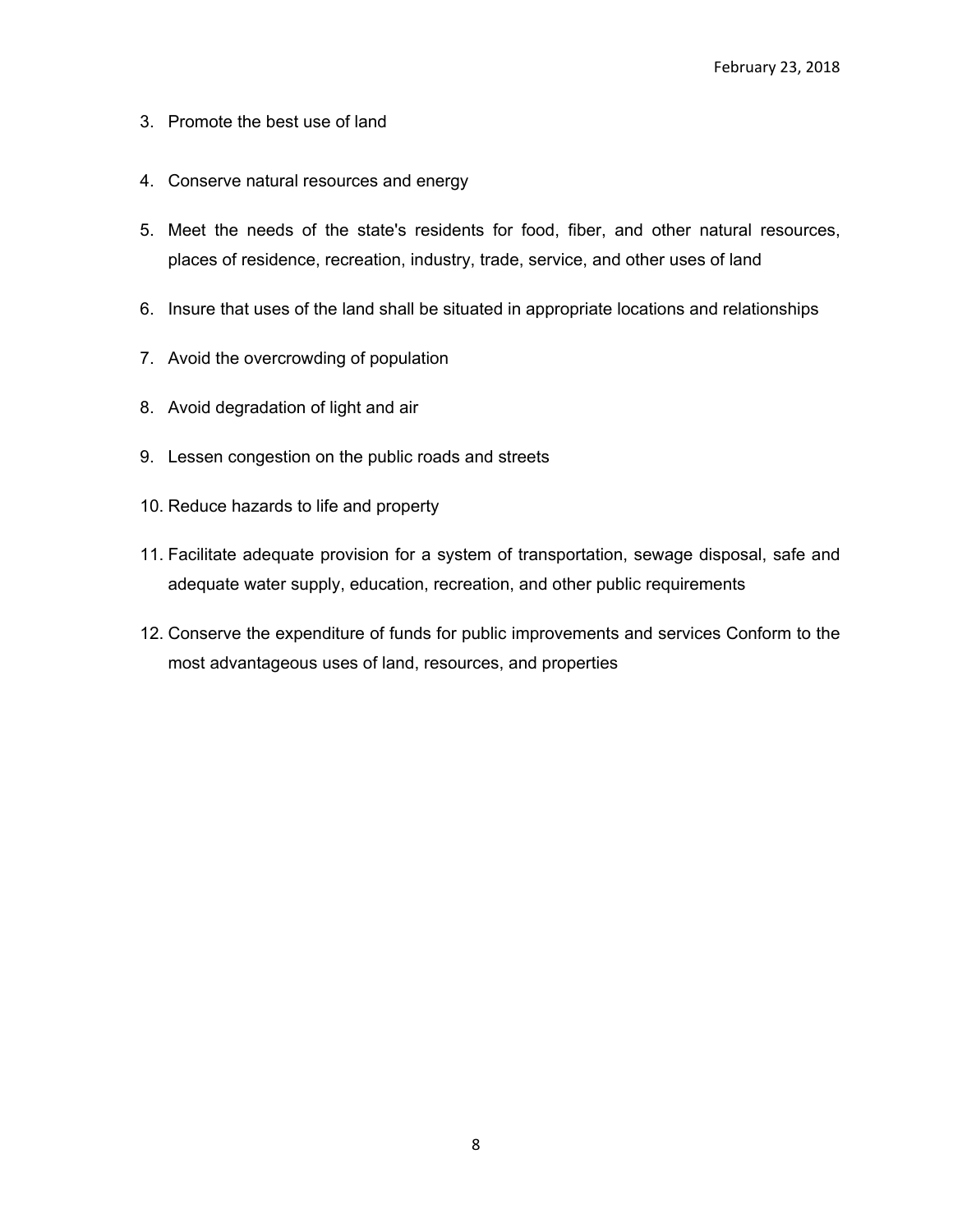- 3. Promote the best use of land
- 4. Conserve natural resources and energy
- 5. Meet the needs of the state's residents for food, fiber, and other natural resources, places of residence, recreation, industry, trade, service, and other uses of land
- 6. Insure that uses of the land shall be situated in appropriate locations and relationships
- 7. Avoid the overcrowding of population
- 8. Avoid degradation of light and air
- 9. Lessen congestion on the public roads and streets
- 10. Reduce hazards to life and property
- 11. Facilitate adequate provision for a system of transportation, sewage disposal, safe and adequate water supply, education, recreation, and other public requirements
- 12. Conserve the expenditure of funds for public improvements and services Conform to the most advantageous uses of land, resources, and properties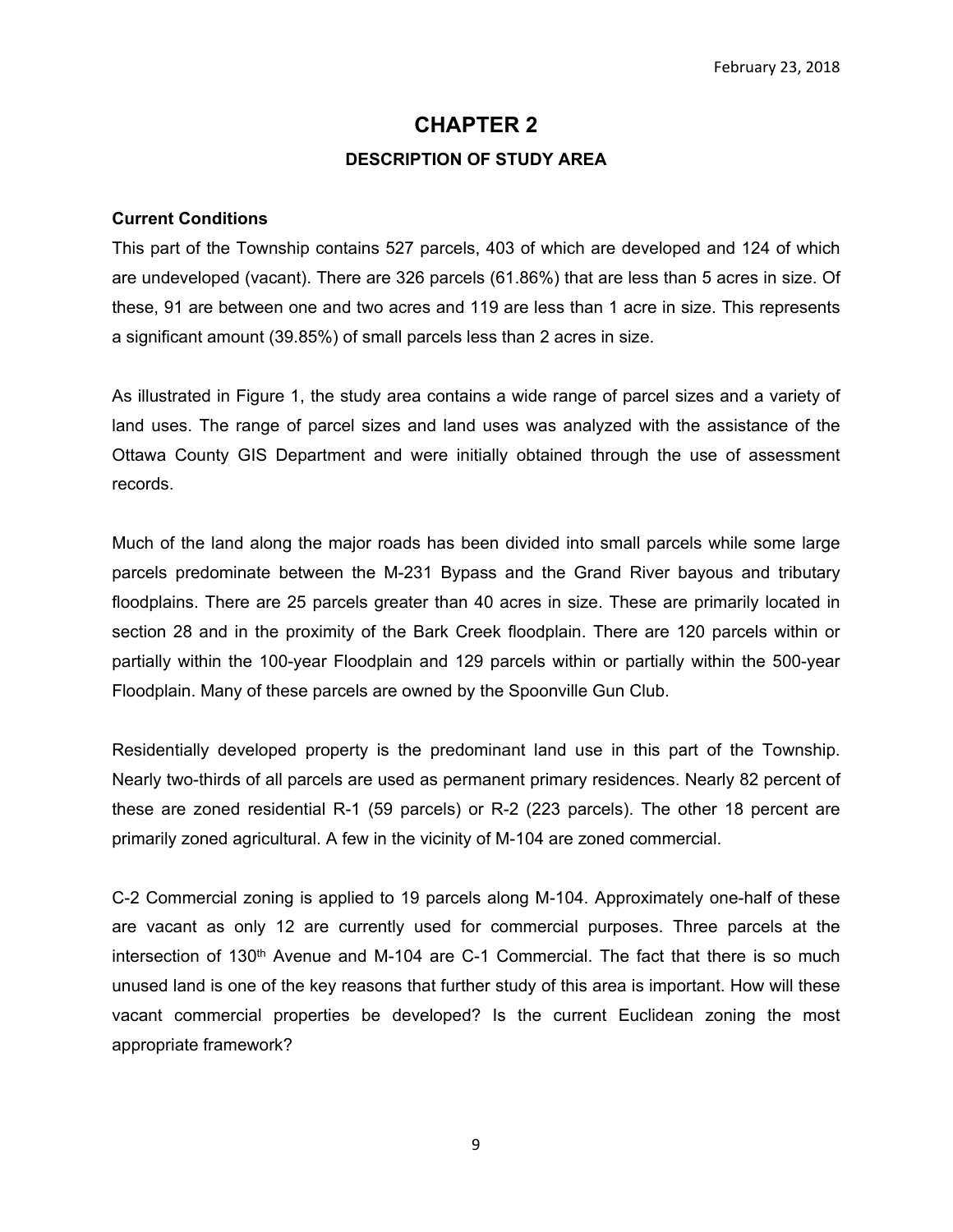# **CHAPTER 2 DESCRIPTION OF STUDY AREA**

#### **Current Conditions**

This part of the Township contains 527 parcels, 403 of which are developed and 124 of which are undeveloped (vacant). There are 326 parcels (61.86%) that are less than 5 acres in size. Of these, 91 are between one and two acres and 119 are less than 1 acre in size. This represents a significant amount (39.85%) of small parcels less than 2 acres in size.

As illustrated in Figure 1, the study area contains a wide range of parcel sizes and a variety of land uses. The range of parcel sizes and land uses was analyzed with the assistance of the Ottawa County GIS Department and were initially obtained through the use of assessment records.

Much of the land along the major roads has been divided into small parcels while some large parcels predominate between the M-231 Bypass and the Grand River bayous and tributary floodplains. There are 25 parcels greater than 40 acres in size. These are primarily located in section 28 and in the proximity of the Bark Creek floodplain. There are 120 parcels within or partially within the 100-year Floodplain and 129 parcels within or partially within the 500-year Floodplain. Many of these parcels are owned by the Spoonville Gun Club.

Residentially developed property is the predominant land use in this part of the Township. Nearly two-thirds of all parcels are used as permanent primary residences. Nearly 82 percent of these are zoned residential R-1 (59 parcels) or R-2 (223 parcels). The other 18 percent are primarily zoned agricultural. A few in the vicinity of M-104 are zoned commercial.

C-2 Commercial zoning is applied to 19 parcels along M-104. Approximately one-half of these are vacant as only 12 are currently used for commercial purposes. Three parcels at the intersection of 130<sup>th</sup> Avenue and M-104 are C-1 Commercial. The fact that there is so much unused land is one of the key reasons that further study of this area is important. How will these vacant commercial properties be developed? Is the current Euclidean zoning the most appropriate framework?

9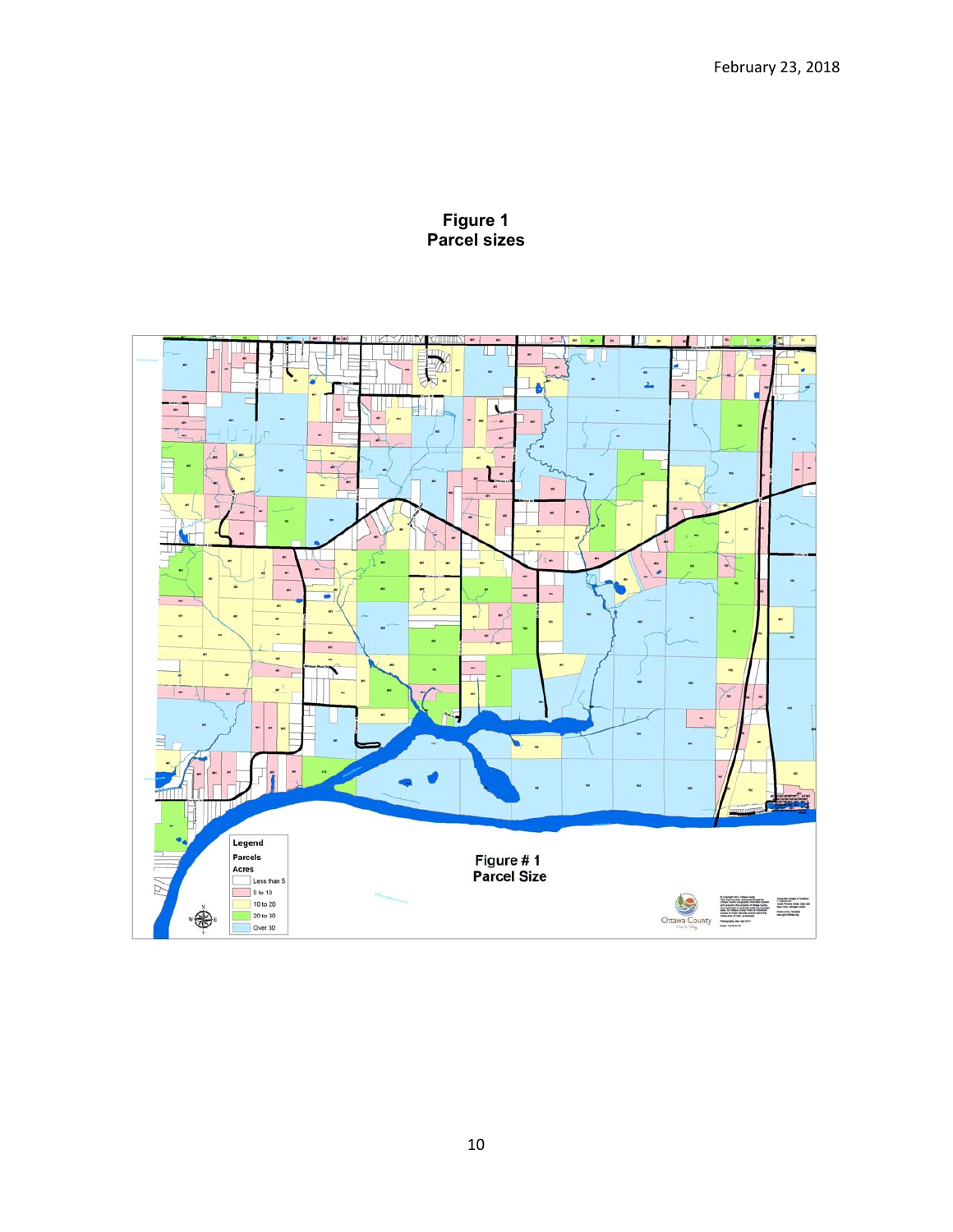

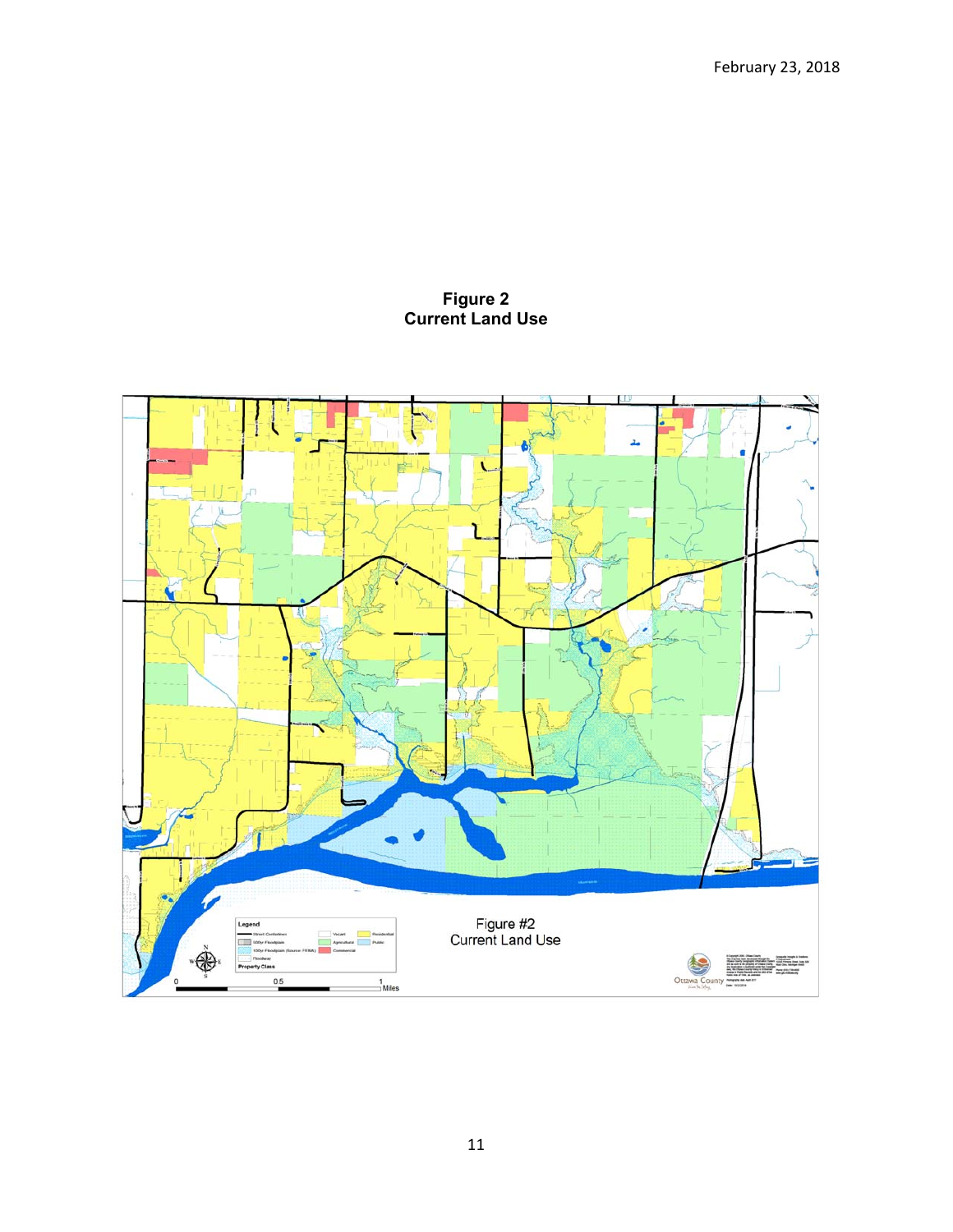#### **Figure 2 Current Land Use**

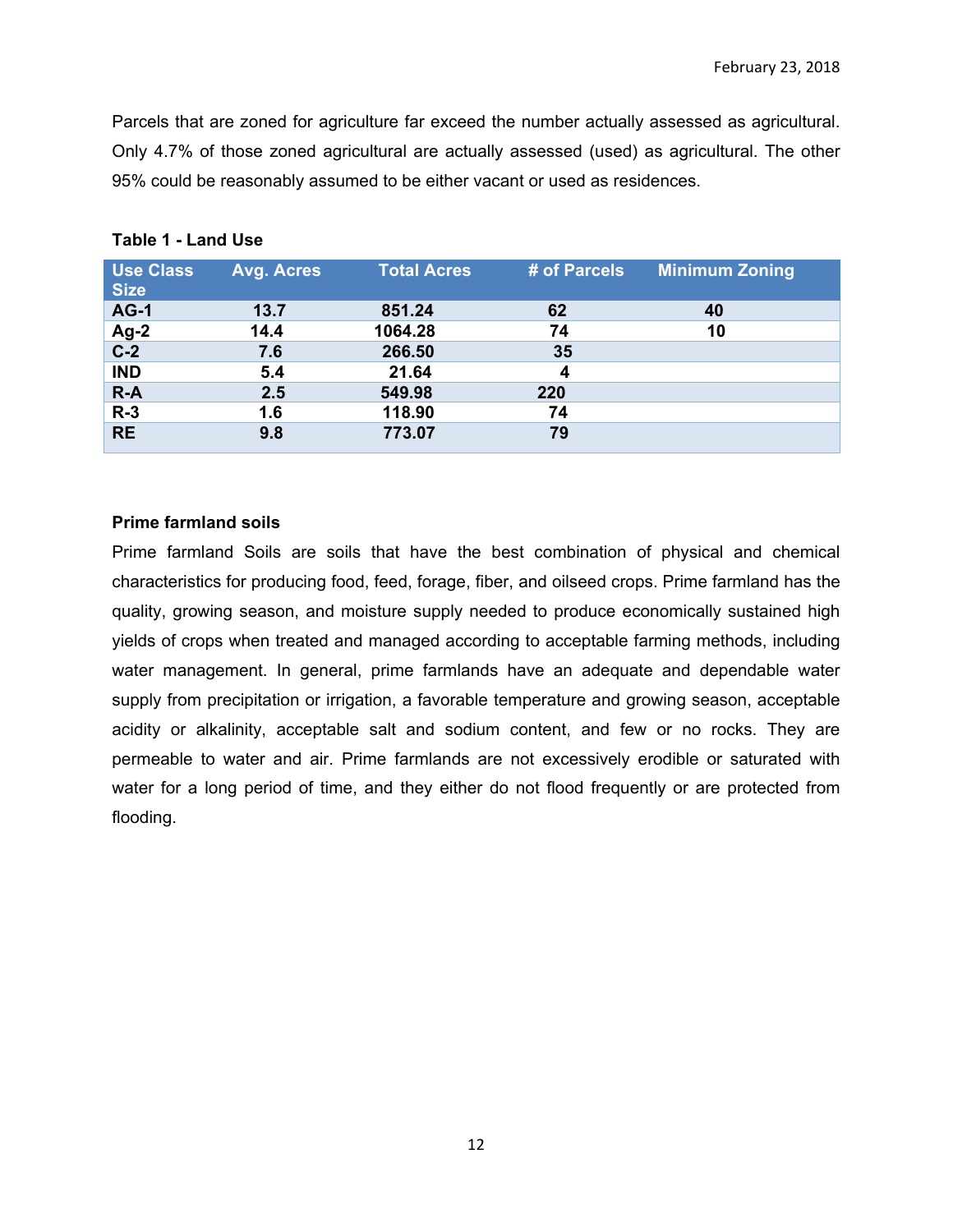Parcels that are zoned for agriculture far exceed the number actually assessed as agricultural. Only 4.7% of those zoned agricultural are actually assessed (used) as agricultural. The other 95% could be reasonably assumed to be either vacant or used as residences.

| <b>Use Class</b> | <b>Avg. Acres</b> | <b>Total Acres</b> | # of Parcels | <b>Minimum Zoning</b> |
|------------------|-------------------|--------------------|--------------|-----------------------|
| <b>Size</b>      |                   |                    |              |                       |
| <b>AG-1</b>      | 13.7              | 851.24             | 62           | 40                    |
| $Ag-2$           | 14.4              | 1064.28            | 74           | 10                    |
| $\overline{C-2}$ | 7.6               | 266.50             | 35           |                       |
| <b>IND</b>       | 5.4               | 21.64              | 4            |                       |
| $R-A$            | 2.5               | 549.98             | 220          |                       |
| $R-3$            | 1.6               | 118.90             | 74           |                       |
| <b>RE</b>        | 9.8               | 773.07             | 79           |                       |

## **Table 1 - Land Use**

### **Prime farmland soils**

Prime farmland Soils are soils that have the best combination of physical and chemical characteristics for producing food, feed, forage, fiber, and oilseed crops. Prime farmland has the quality, growing season, and moisture supply needed to produce economically sustained high yields of crops when treated and managed according to acceptable farming methods, including water management. In general, prime farmlands have an adequate and dependable water supply from precipitation or irrigation, a favorable temperature and growing season, acceptable acidity or alkalinity, acceptable salt and sodium content, and few or no rocks. They are permeable to water and air. Prime farmlands are not excessively erodible or saturated with water for a long period of time, and they either do not flood frequently or are protected from flooding.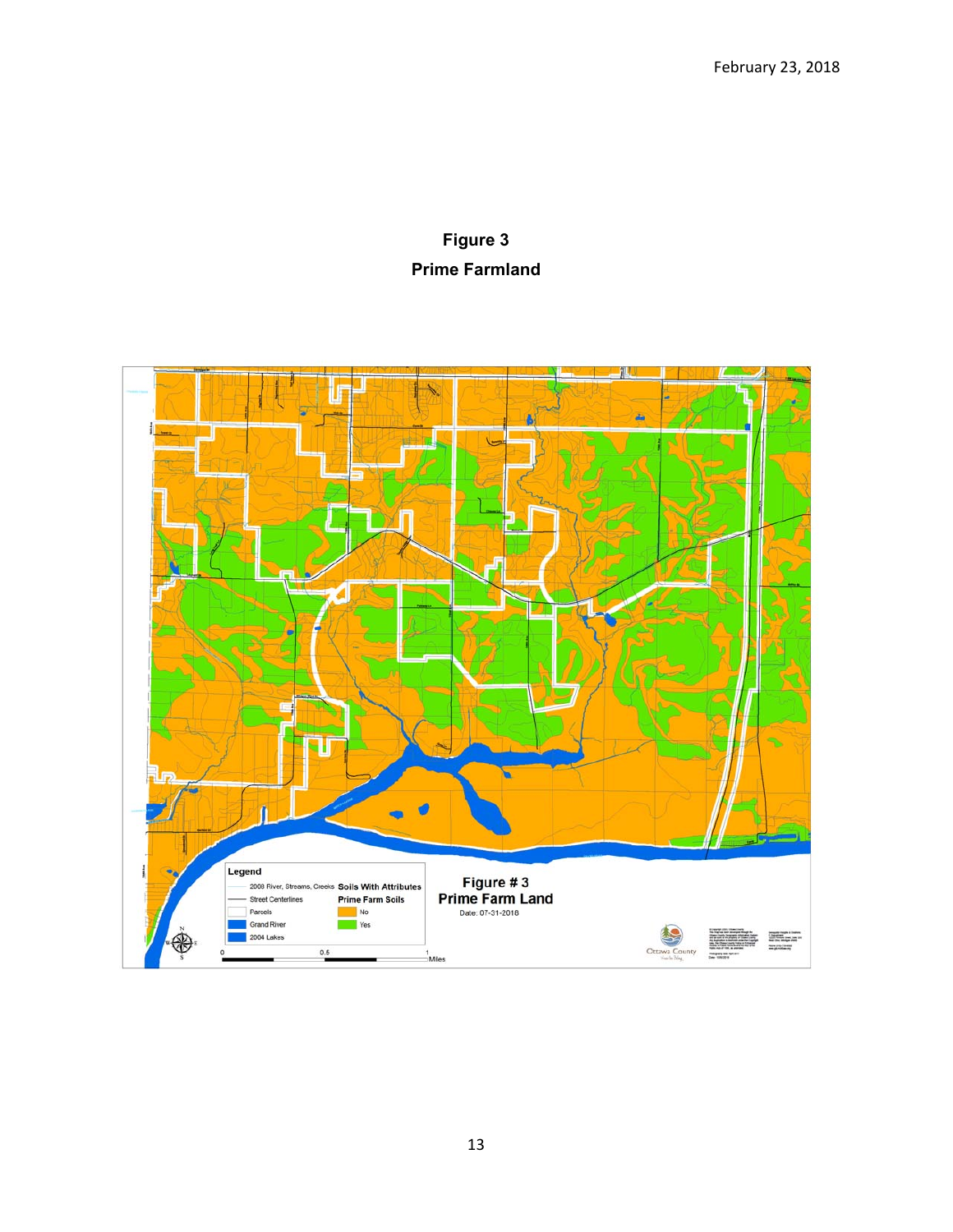# **Figure 3 Prime Farmland**

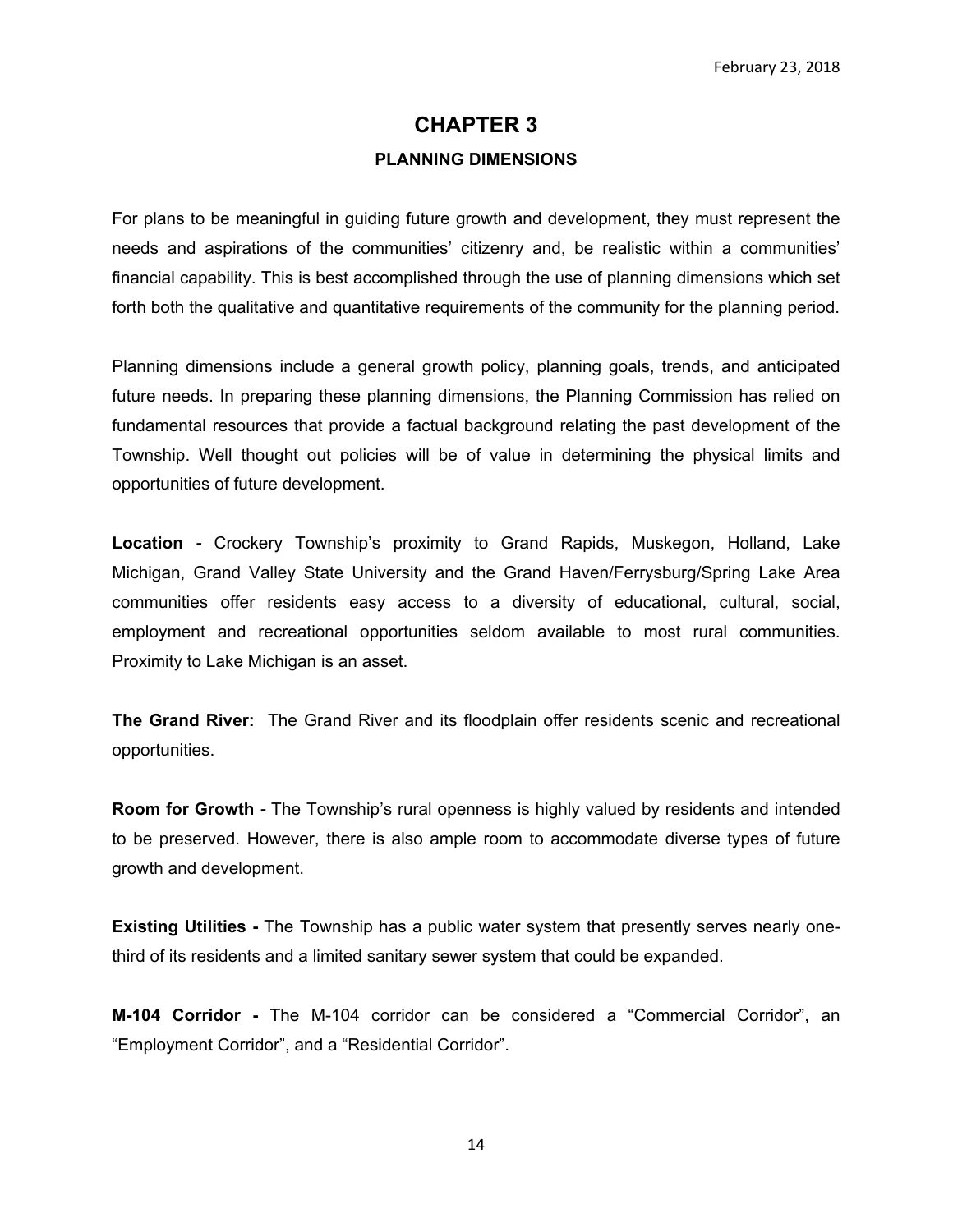# **CHAPTER 3 PLANNING DIMENSIONS**

For plans to be meaningful in guiding future growth and development, they must represent the needs and aspirations of the communities' citizenry and, be realistic within a communities' financial capability. This is best accomplished through the use of planning dimensions which set forth both the qualitative and quantitative requirements of the community for the planning period.

Planning dimensions include a general growth policy, planning goals, trends, and anticipated future needs. In preparing these planning dimensions, the Planning Commission has relied on fundamental resources that provide a factual background relating the past development of the Township. Well thought out policies will be of value in determining the physical limits and opportunities of future development.

**Location -** Crockery Township's proximity to Grand Rapids, Muskegon, Holland, Lake Michigan, Grand Valley State University and the Grand Haven/Ferrysburg/Spring Lake Area communities offer residents easy access to a diversity of educational, cultural, social, employment and recreational opportunities seldom available to most rural communities. Proximity to Lake Michigan is an asset.

**The Grand River:**The Grand River and its floodplain offer residents scenic and recreational opportunities.

**Room for Growth -** The Township's rural openness is highly valued by residents and intended to be preserved. However, there is also ample room to accommodate diverse types of future growth and development.

**Existing Utilities -** The Township has a public water system that presently serves nearly onethird of its residents and a limited sanitary sewer system that could be expanded.

**M-104 Corridor -** The M-104 corridor can be considered a "Commercial Corridor", an "Employment Corridor", and a "Residential Corridor".

14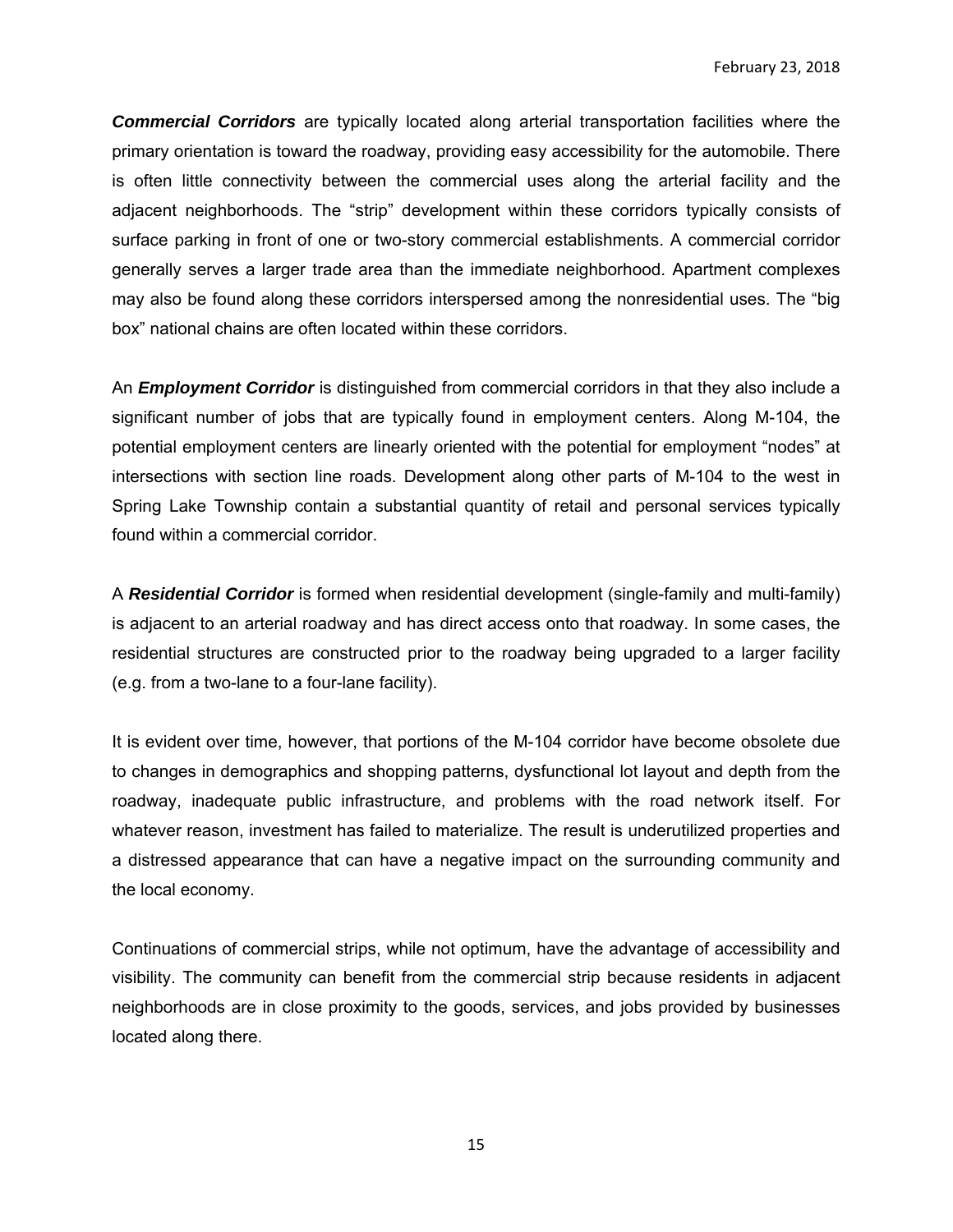*Commercial Corridors* are typically located along arterial transportation facilities where the primary orientation is toward the roadway, providing easy accessibility for the automobile. There is often little connectivity between the commercial uses along the arterial facility and the adjacent neighborhoods. The "strip" development within these corridors typically consists of surface parking in front of one or two-story commercial establishments. A commercial corridor generally serves a larger trade area than the immediate neighborhood. Apartment complexes may also be found along these corridors interspersed among the nonresidential uses. The "big box" national chains are often located within these corridors.

An *Employment Corridor* is distinguished from commercial corridors in that they also include a significant number of jobs that are typically found in employment centers. Along M-104, the potential employment centers are linearly oriented with the potential for employment "nodes" at intersections with section line roads. Development along other parts of M-104 to the west in Spring Lake Township contain a substantial quantity of retail and personal services typically found within a commercial corridor.

A *Residential Corridor* is formed when residential development (single-family and multi-family) is adjacent to an arterial roadway and has direct access onto that roadway. In some cases, the residential structures are constructed prior to the roadway being upgraded to a larger facility (e.g. from a two-lane to a four-lane facility).

It is evident over time, however, that portions of the M-104 corridor have become obsolete due to changes in demographics and shopping patterns, dysfunctional lot layout and depth from the roadway, inadequate public infrastructure, and problems with the road network itself. For whatever reason, investment has failed to materialize. The result is underutilized properties and a distressed appearance that can have a negative impact on the surrounding community and the local economy.

Continuations of commercial strips, while not optimum, have the advantage of accessibility and visibility. The community can benefit from the commercial strip because residents in adjacent neighborhoods are in close proximity to the goods, services, and jobs provided by businesses located along there.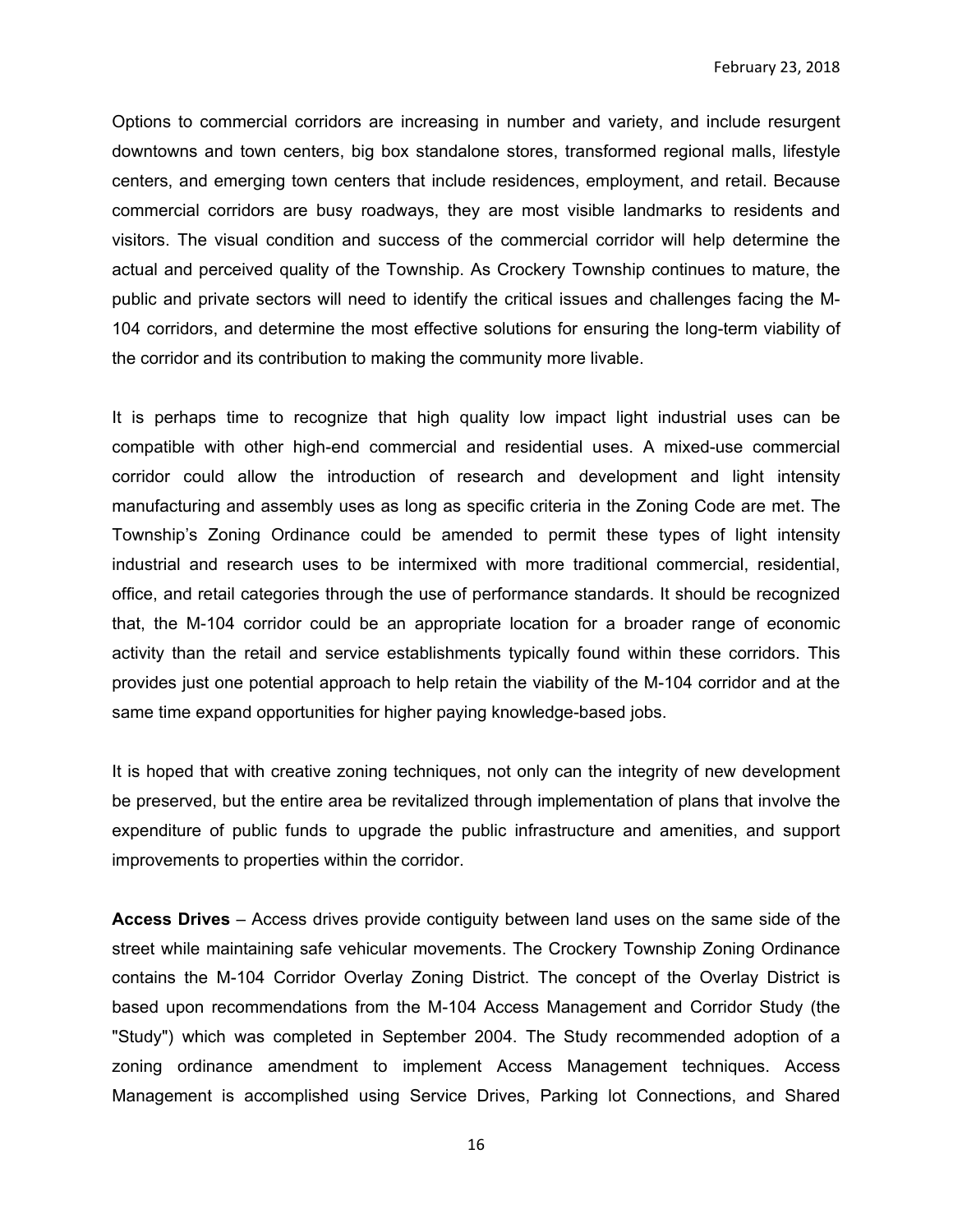Options to commercial corridors are increasing in number and variety, and include resurgent downtowns and town centers, big box standalone stores, transformed regional malls, lifestyle centers, and emerging town centers that include residences, employment, and retail. Because commercial corridors are busy roadways, they are most visible landmarks to residents and visitors. The visual condition and success of the commercial corridor will help determine the actual and perceived quality of the Township. As Crockery Township continues to mature, the public and private sectors will need to identify the critical issues and challenges facing the M-104 corridors, and determine the most effective solutions for ensuring the long-term viability of the corridor and its contribution to making the community more livable.

It is perhaps time to recognize that high quality low impact light industrial uses can be compatible with other high-end commercial and residential uses. A mixed-use commercial corridor could allow the introduction of research and development and light intensity manufacturing and assembly uses as long as specific criteria in the Zoning Code are met. The Township's Zoning Ordinance could be amended to permit these types of light intensity industrial and research uses to be intermixed with more traditional commercial, residential, office, and retail categories through the use of performance standards. It should be recognized that, the M-104 corridor could be an appropriate location for a broader range of economic activity than the retail and service establishments typically found within these corridors. This provides just one potential approach to help retain the viability of the M-104 corridor and at the same time expand opportunities for higher paying knowledge-based jobs.

It is hoped that with creative zoning techniques, not only can the integrity of new development be preserved, but the entire area be revitalized through implementation of plans that involve the expenditure of public funds to upgrade the public infrastructure and amenities, and support improvements to properties within the corridor.

**Access Drives** – Access drives provide contiguity between land uses on the same side of the street while maintaining safe vehicular movements. The Crockery Township Zoning Ordinance contains the M-104 Corridor Overlay Zoning District. The concept of the Overlay District is based upon recommendations from the M-104 Access Management and Corridor Study (the "Study") which was completed in September 2004. The Study recommended adoption of a zoning ordinance amendment to implement Access Management techniques. Access Management is accomplished using Service Drives, Parking lot Connections, and Shared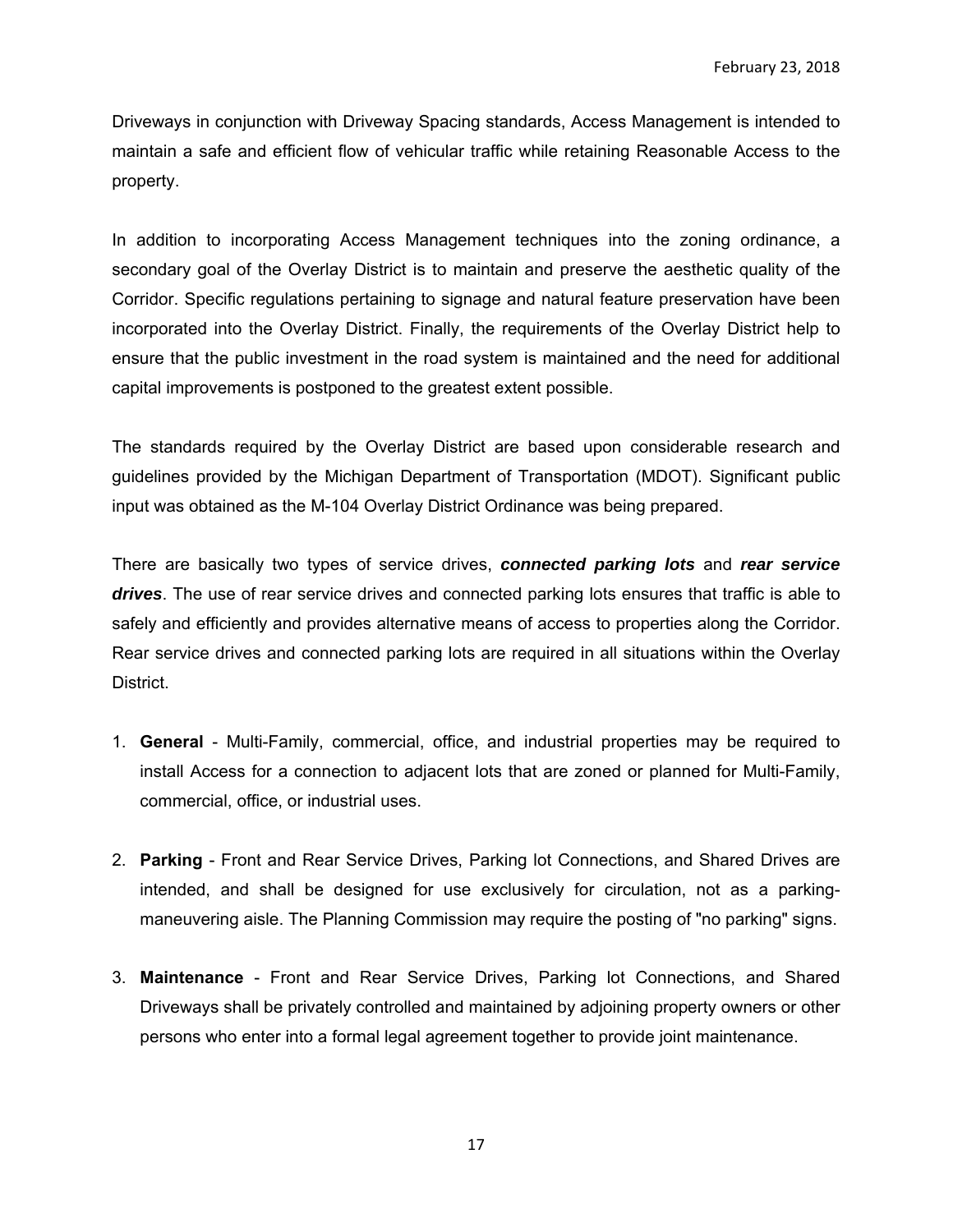Driveways in conjunction with Driveway Spacing standards, Access Management is intended to maintain a safe and efficient flow of vehicular traffic while retaining Reasonable Access to the property.

In addition to incorporating Access Management techniques into the zoning ordinance, a secondary goal of the Overlay District is to maintain and preserve the aesthetic quality of the Corridor. Specific regulations pertaining to signage and natural feature preservation have been incorporated into the Overlay District. Finally, the requirements of the Overlay District help to ensure that the public investment in the road system is maintained and the need for additional capital improvements is postponed to the greatest extent possible.

The standards required by the Overlay District are based upon considerable research and guidelines provided by the Michigan Department of Transportation (MDOT). Significant public input was obtained as the M-104 Overlay District Ordinance was being prepared.

There are basically two types of service drives, *connected parking lots* and *rear service drives*. The use of rear service drives and connected parking lots ensures that traffic is able to safely and efficiently and provides alternative means of access to properties along the Corridor. Rear service drives and connected parking lots are required in all situations within the Overlay District.

- 1. **General** Multi-Family, commercial, office, and industrial properties may be required to install Access for a connection to adjacent lots that are zoned or planned for Multi-Family, commercial, office, or industrial uses.
- 2. **Parking** Front and Rear Service Drives, Parking lot Connections, and Shared Drives are intended, and shall be designed for use exclusively for circulation, not as a parkingmaneuvering aisle. The Planning Commission may require the posting of "no parking" signs.
- 3. **Maintenance** Front and Rear Service Drives, Parking lot Connections, and Shared Driveways shall be privately controlled and maintained by adjoining property owners or other persons who enter into a formal legal agreement together to provide joint maintenance.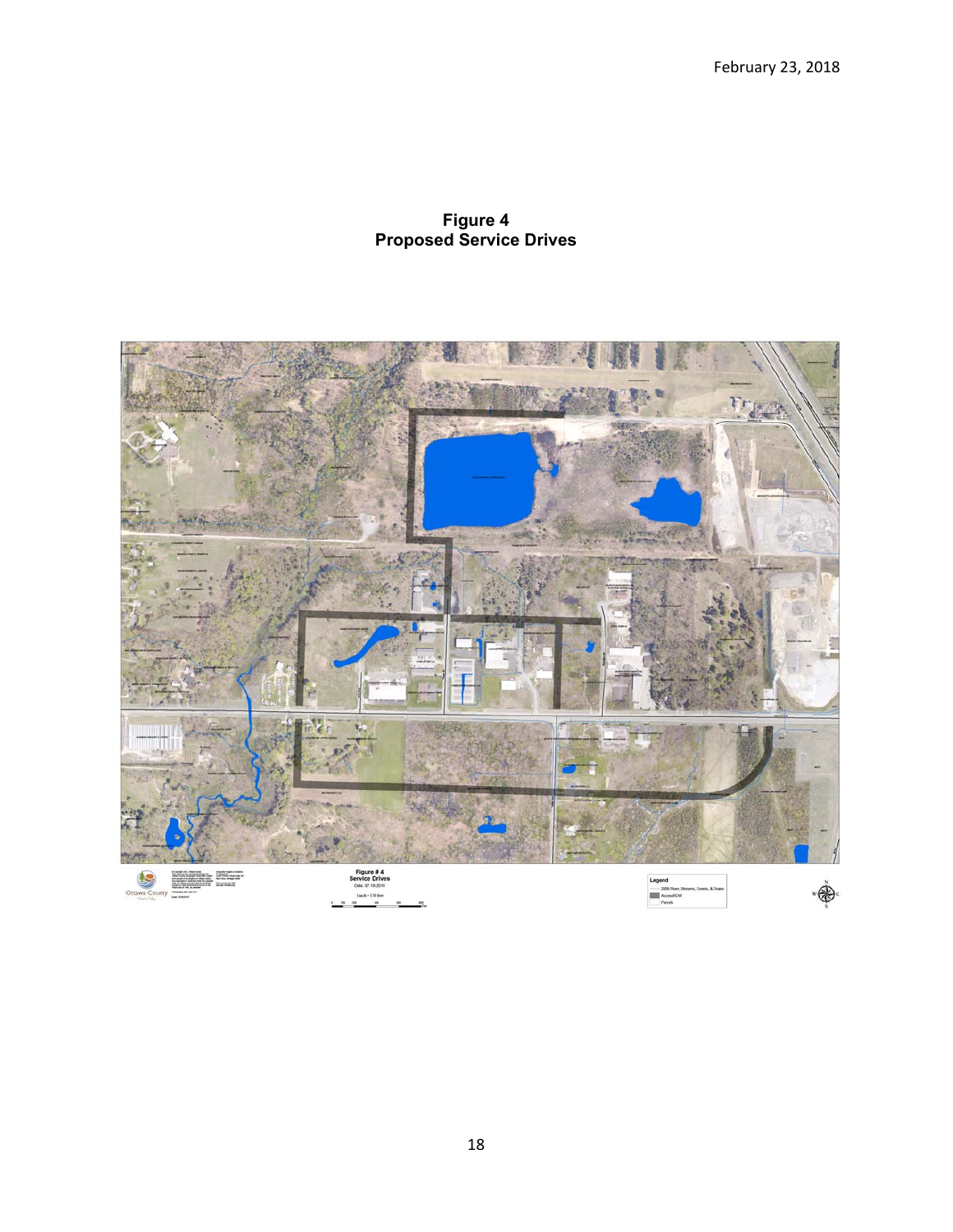# **Figure 4 Proposed Service Drives**

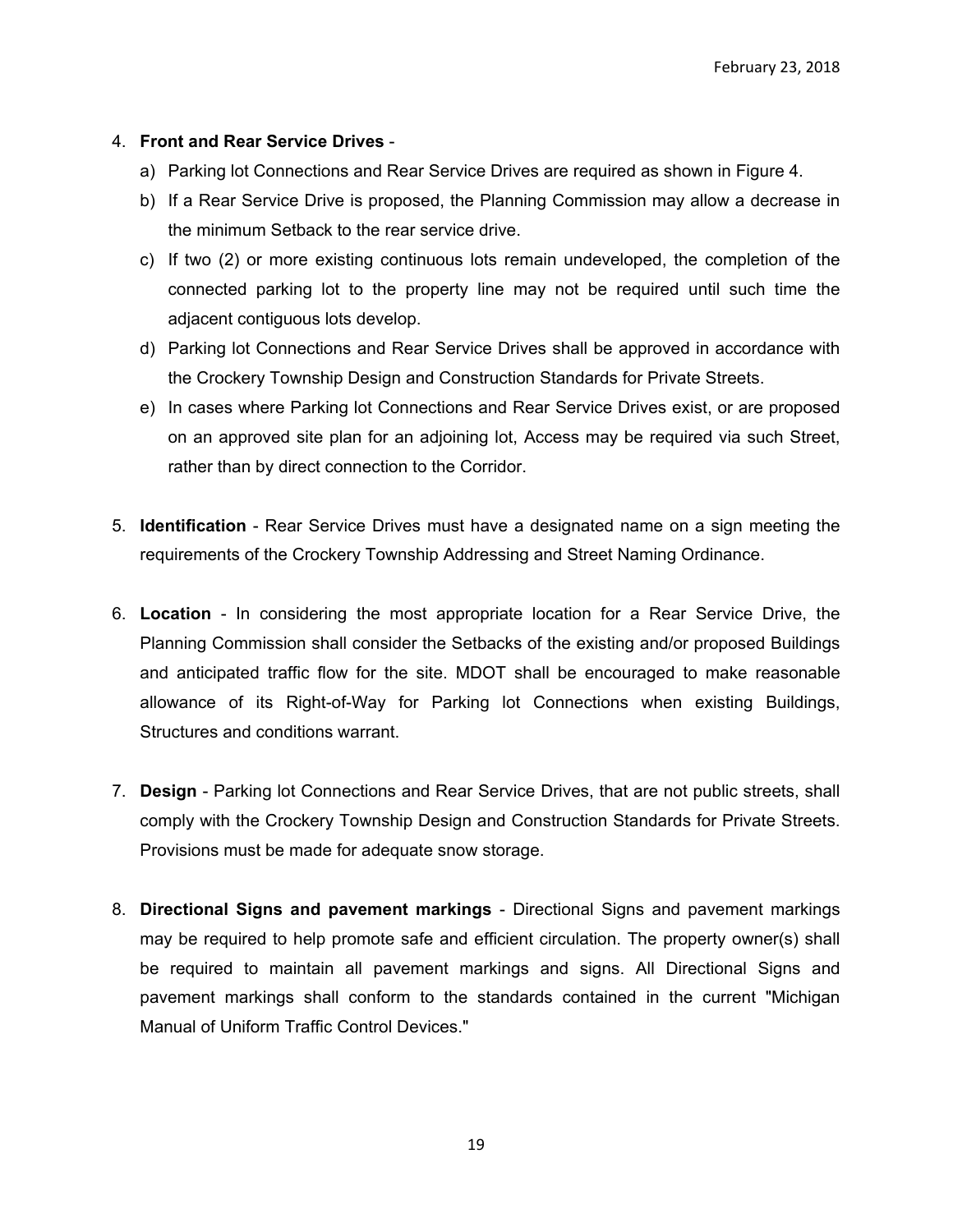# 4. **Front and Rear Service Drives** -

- a) Parking lot Connections and Rear Service Drives are required as shown in Figure 4.
- b) If a Rear Service Drive is proposed, the Planning Commission may allow a decrease in the minimum Setback to the rear service drive.
- c) If two (2) or more existing continuous lots remain undeveloped, the completion of the connected parking lot to the property line may not be required until such time the adjacent contiguous lots develop.
- d) Parking lot Connections and Rear Service Drives shall be approved in accordance with the Crockery Township Design and Construction Standards for Private Streets.
- e) In cases where Parking lot Connections and Rear Service Drives exist, or are proposed on an approved site plan for an adjoining lot, Access may be required via such Street, rather than by direct connection to the Corridor.
- 5. **Identification** Rear Service Drives must have a designated name on a sign meeting the requirements of the Crockery Township Addressing and Street Naming Ordinance.
- 6. **Location** In considering the most appropriate location for a Rear Service Drive, the Planning Commission shall consider the Setbacks of the existing and/or proposed Buildings and anticipated traffic flow for the site. MDOT shall be encouraged to make reasonable allowance of its Right-of-Way for Parking lot Connections when existing Buildings, Structures and conditions warrant.
- 7. **Design** Parking lot Connections and Rear Service Drives, that are not public streets, shall comply with the Crockery Township Design and Construction Standards for Private Streets. Provisions must be made for adequate snow storage.
- 8. **Directional Signs and pavement markings** Directional Signs and pavement markings may be required to help promote safe and efficient circulation. The property owner(s) shall be required to maintain all pavement markings and signs. All Directional Signs and pavement markings shall conform to the standards contained in the current "Michigan Manual of Uniform Traffic Control Devices."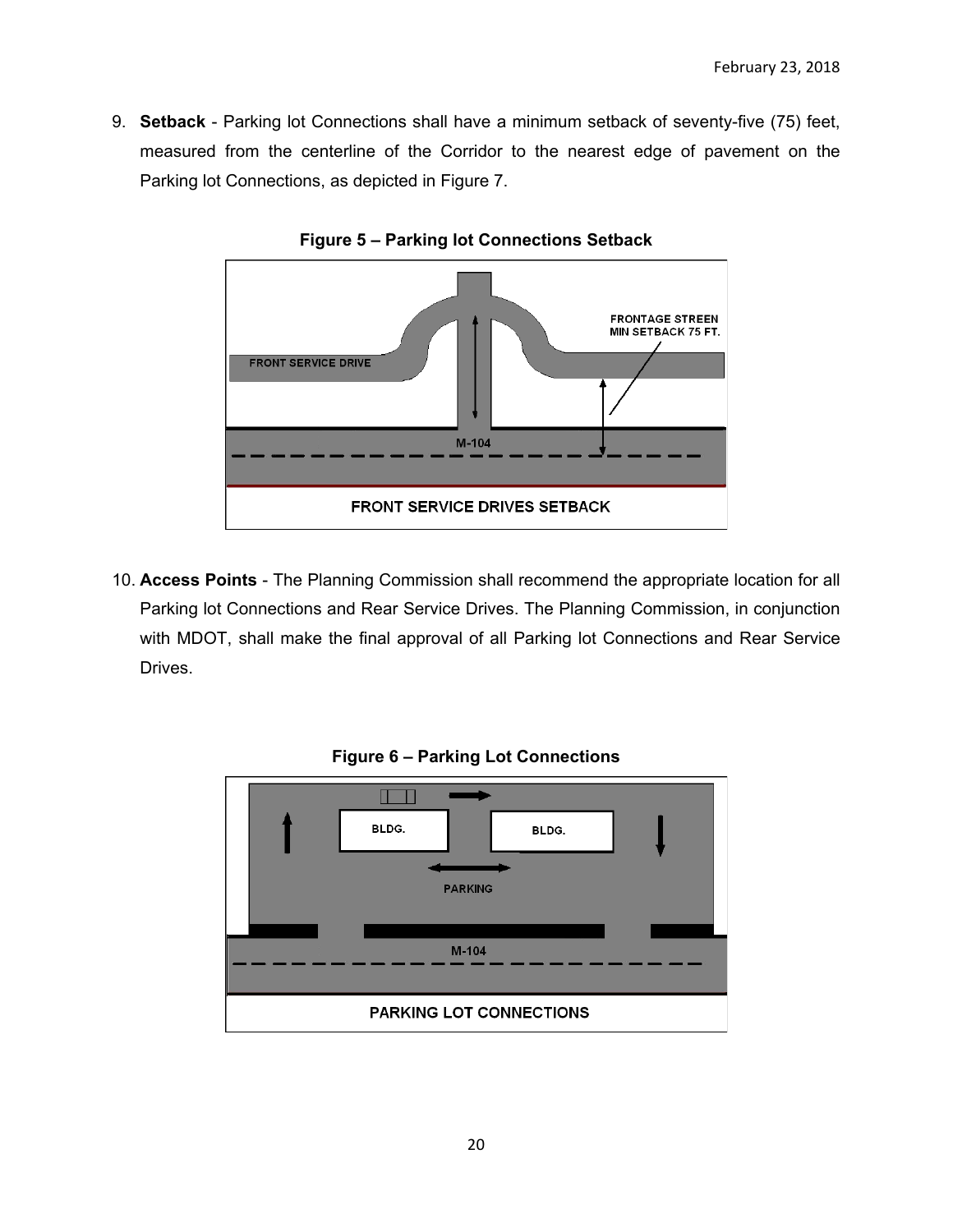9. **Setback** - Parking lot Connections shall have a minimum setback of seventy-five (75) feet, measured from the centerline of the Corridor to the nearest edge of pavement on the Parking lot Connections, as depicted in Figure 7.



**Figure 5 – Parking lot Connections Setback** 

10. **Access Points** - The Planning Commission shall recommend the appropriate location for all Parking lot Connections and Rear Service Drives. The Planning Commission, in conjunction with MDOT, shall make the final approval of all Parking lot Connections and Rear Service Drives.



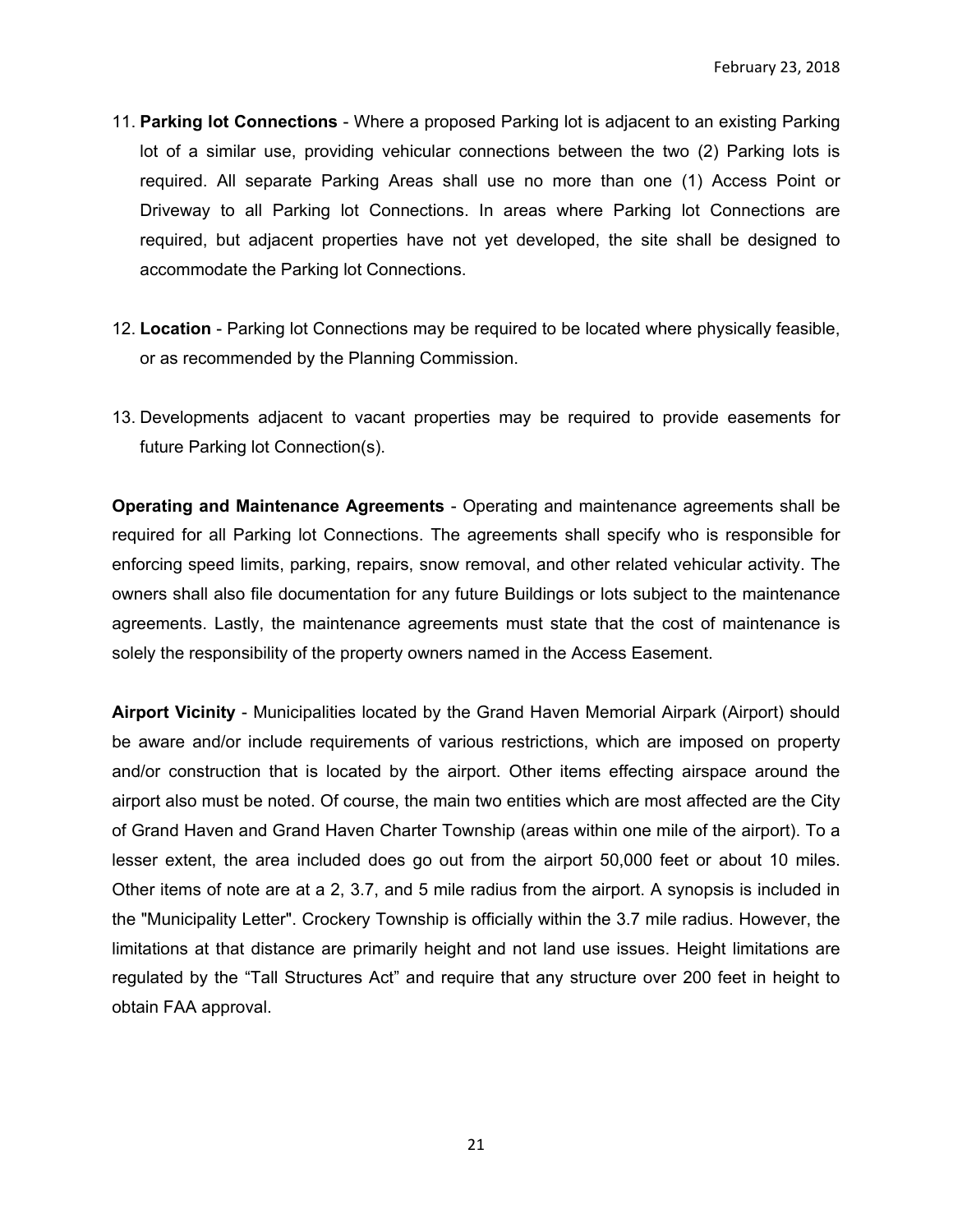- 11. **Parking lot Connections** Where a proposed Parking lot is adjacent to an existing Parking lot of a similar use, providing vehicular connections between the two (2) Parking lots is required. All separate Parking Areas shall use no more than one (1) Access Point or Driveway to all Parking lot Connections. In areas where Parking lot Connections are required, but adjacent properties have not yet developed, the site shall be designed to accommodate the Parking lot Connections.
- 12. **Location** Parking lot Connections may be required to be located where physically feasible, or as recommended by the Planning Commission.
- 13. Developments adjacent to vacant properties may be required to provide easements for future Parking lot Connection(s).

**Operating and Maintenance Agreements** - Operating and maintenance agreements shall be required for all Parking lot Connections. The agreements shall specify who is responsible for enforcing speed limits, parking, repairs, snow removal, and other related vehicular activity. The owners shall also file documentation for any future Buildings or lots subject to the maintenance agreements. Lastly, the maintenance agreements must state that the cost of maintenance is solely the responsibility of the property owners named in the Access Easement.

**Airport Vicinity** - Municipalities located by the Grand Haven Memorial Airpark (Airport) should be aware and/or include requirements of various restrictions, which are imposed on property and/or construction that is located by the airport. Other items effecting airspace around the airport also must be noted. Of course, the main two entities which are most affected are the City of Grand Haven and Grand Haven Charter Township (areas within one mile of the airport). To a lesser extent, the area included does go out from the airport 50,000 feet or about 10 miles. Other items of note are at a 2, 3.7, and 5 mile radius from the airport. A synopsis is included in the "Municipality Letter". Crockery Township is officially within the 3.7 mile radius. However, the limitations at that distance are primarily height and not land use issues. Height limitations are regulated by the "Tall Structures Act" and require that any structure over 200 feet in height to obtain FAA approval.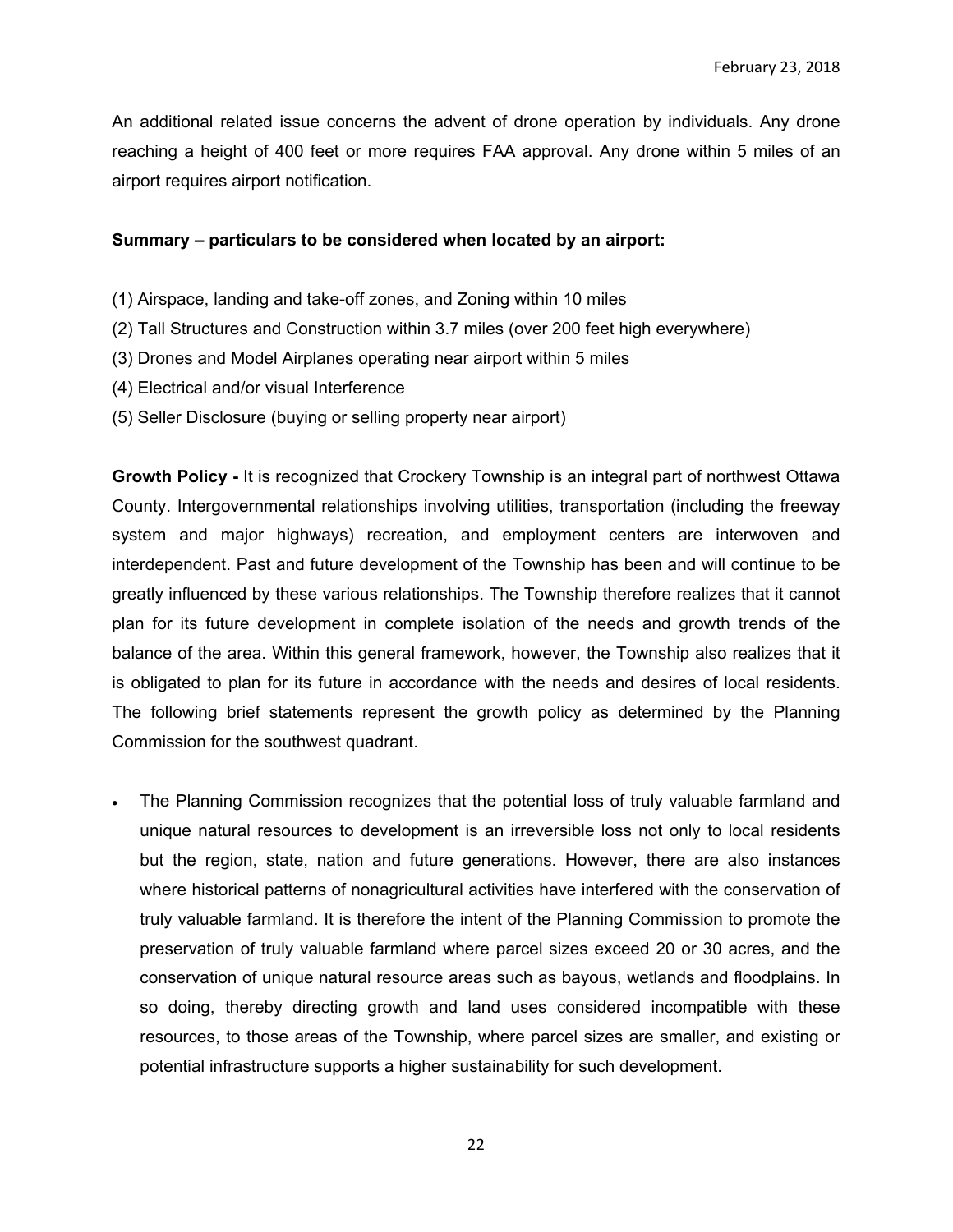An additional related issue concerns the advent of drone operation by individuals. Any drone reaching a height of 400 feet or more requires FAA approval. Any drone within 5 miles of an airport requires airport notification.

#### **Summary – particulars to be considered when located by an airport:**

- (1) Airspace, landing and take-off zones, and Zoning within 10 miles
- (2) Tall Structures and Construction within 3.7 miles (over 200 feet high everywhere)
- (3) Drones and Model Airplanes operating near airport within 5 miles
- (4) Electrical and/or visual Interference
- (5) Seller Disclosure (buying or selling property near airport)

**Growth Policy -** It is recognized that Crockery Township is an integral part of northwest Ottawa County. Intergovernmental relationships involving utilities, transportation (including the freeway system and major highways) recreation, and employment centers are interwoven and interdependent. Past and future development of the Township has been and will continue to be greatly influenced by these various relationships. The Township therefore realizes that it cannot plan for its future development in complete isolation of the needs and growth trends of the balance of the area. Within this general framework, however, the Township also realizes that it is obligated to plan for its future in accordance with the needs and desires of local residents. The following brief statements represent the growth policy as determined by the Planning Commission for the southwest quadrant.

 The Planning Commission recognizes that the potential loss of truly valuable farmland and unique natural resources to development is an irreversible loss not only to local residents but the region, state, nation and future generations. However, there are also instances where historical patterns of nonagricultural activities have interfered with the conservation of truly valuable farmland. It is therefore the intent of the Planning Commission to promote the preservation of truly valuable farmland where parcel sizes exceed 20 or 30 acres, and the conservation of unique natural resource areas such as bayous, wetlands and floodplains. In so doing, thereby directing growth and land uses considered incompatible with these resources, to those areas of the Township, where parcel sizes are smaller, and existing or potential infrastructure supports a higher sustainability for such development.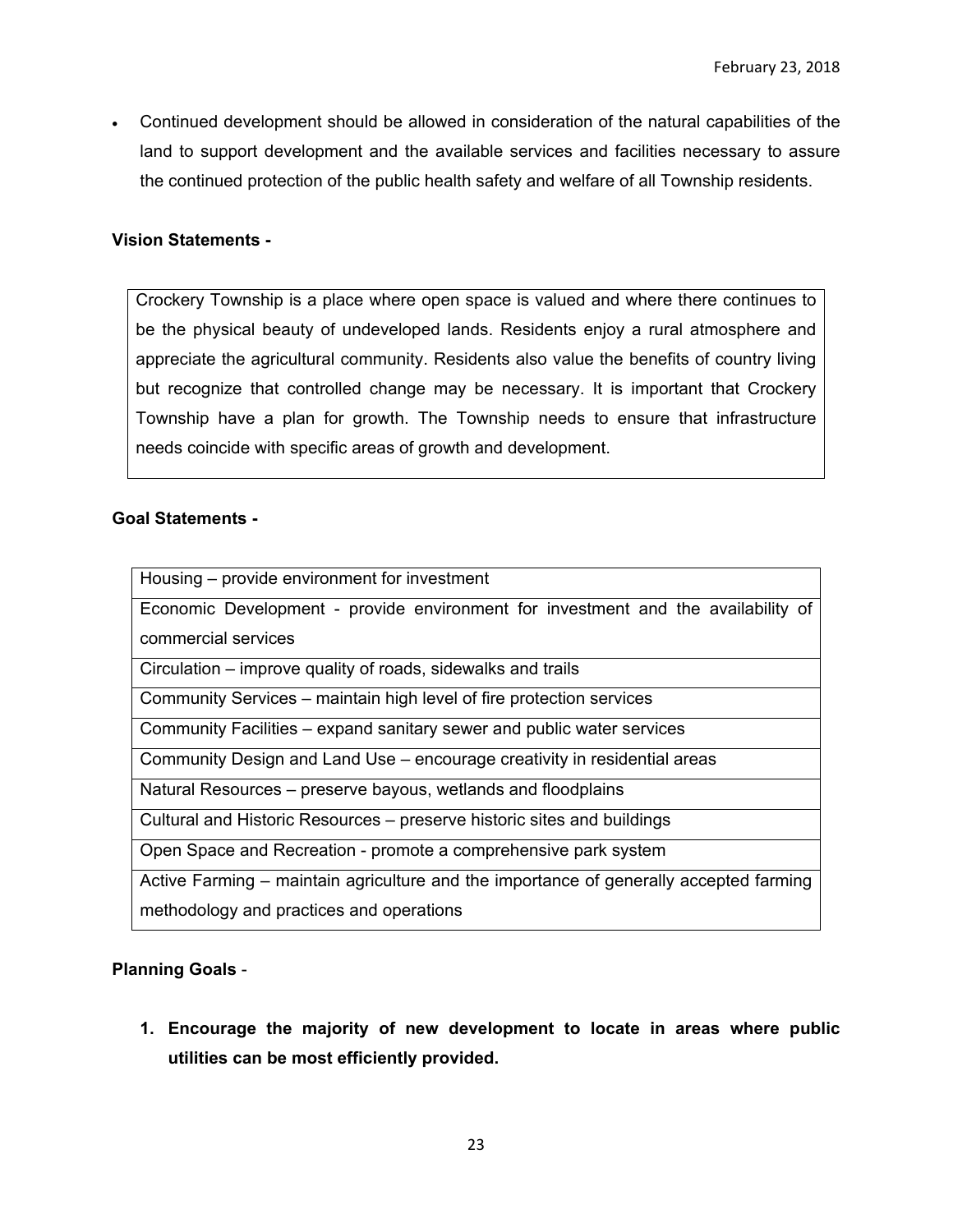Continued development should be allowed in consideration of the natural capabilities of the land to support development and the available services and facilities necessary to assure the continued protection of the public health safety and welfare of all Township residents.

## **Vision Statements -**

Crockery Township is a place where open space is valued and where there continues to be the physical beauty of undeveloped lands. Residents enjoy a rural atmosphere and appreciate the agricultural community. Residents also value the benefits of country living but recognize that controlled change may be necessary. It is important that Crockery Township have a plan for growth. The Township needs to ensure that infrastructure needs coincide with specific areas of growth and development.

### **Goal Statements -**

| Housing – provide environment for investment                                           |
|----------------------------------------------------------------------------------------|
| Economic Development - provide environment for investment and the availability of      |
| commercial services                                                                    |
| Circulation – improve quality of roads, sidewalks and trails                           |
| Community Services – maintain high level of fire protection services                   |
| Community Facilities – expand sanitary sewer and public water services                 |
| Community Design and Land Use – encourage creativity in residential areas              |
| Natural Resources – preserve bayous, wetlands and floodplains                          |
| Cultural and Historic Resources - preserve historic sites and buildings                |
| Open Space and Recreation - promote a comprehensive park system                        |
| Active Farming – maintain agriculture and the importance of generally accepted farming |
| methodology and practices and operations                                               |

# **Planning Goals** -

**1. Encourage the majority of new development to locate in areas where public utilities can be most efficiently provided.**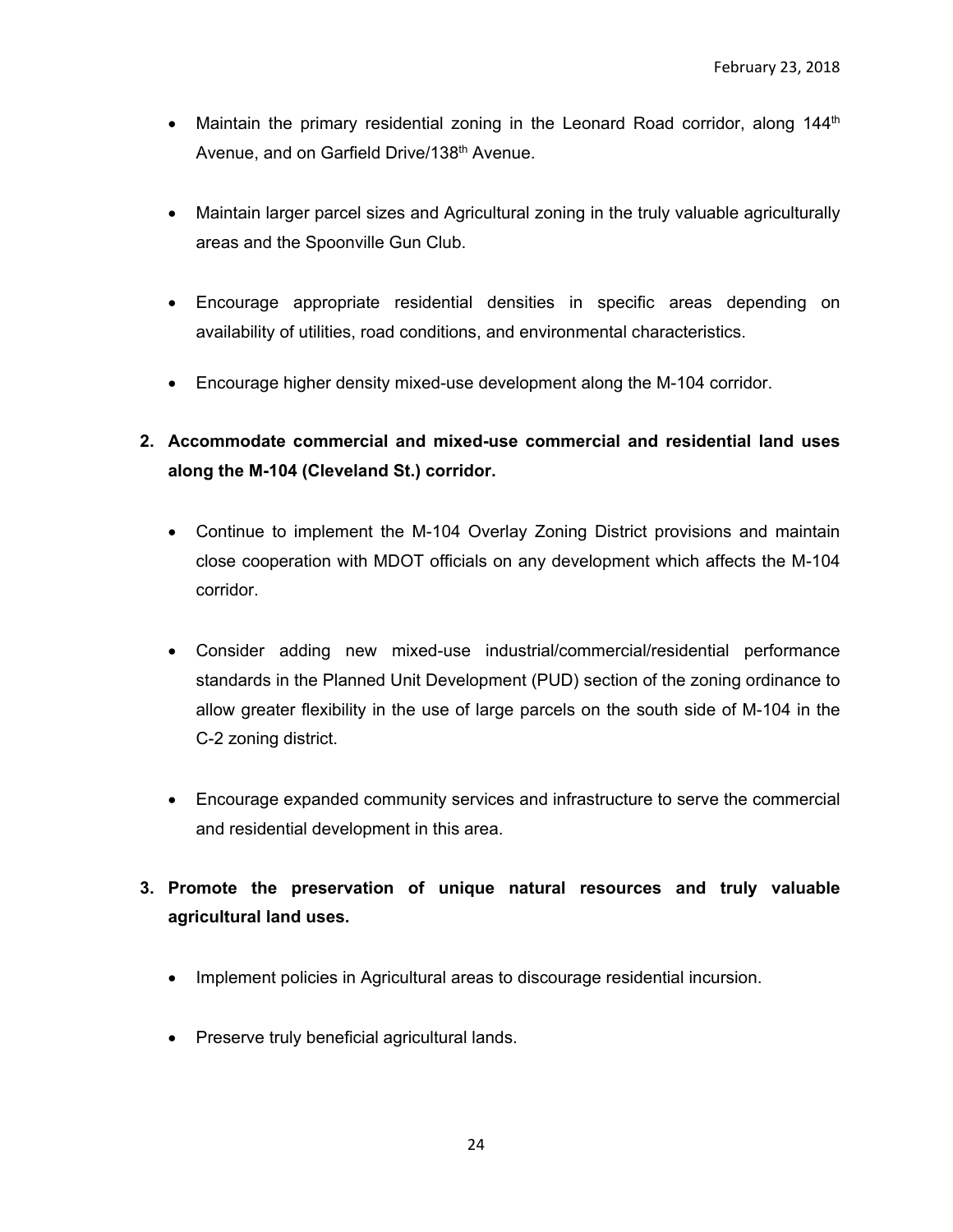- Maintain the primary residential zoning in the Leonard Road corridor, along  $144<sup>th</sup>$ Avenue, and on Garfield Drive/138th Avenue.
- Maintain larger parcel sizes and Agricultural zoning in the truly valuable agriculturally areas and the Spoonville Gun Club.
- Encourage appropriate residential densities in specific areas depending on availability of utilities, road conditions, and environmental characteristics.
- Encourage higher density mixed-use development along the M-104 corridor.
- **2. Accommodate commercial and mixed-use commercial and residential land uses along the M-104 (Cleveland St.) corridor.** 
	- Continue to implement the M-104 Overlay Zoning District provisions and maintain close cooperation with MDOT officials on any development which affects the M-104 corridor.
	- Consider adding new mixed-use industrial/commercial/residential performance standards in the Planned Unit Development (PUD) section of the zoning ordinance to allow greater flexibility in the use of large parcels on the south side of M-104 in the C-2 zoning district.
	- Encourage expanded community services and infrastructure to serve the commercial and residential development in this area.
- **3. Promote the preservation of unique natural resources and truly valuable agricultural land uses.** 
	- Implement policies in Agricultural areas to discourage residential incursion.
	- Preserve truly beneficial agricultural lands.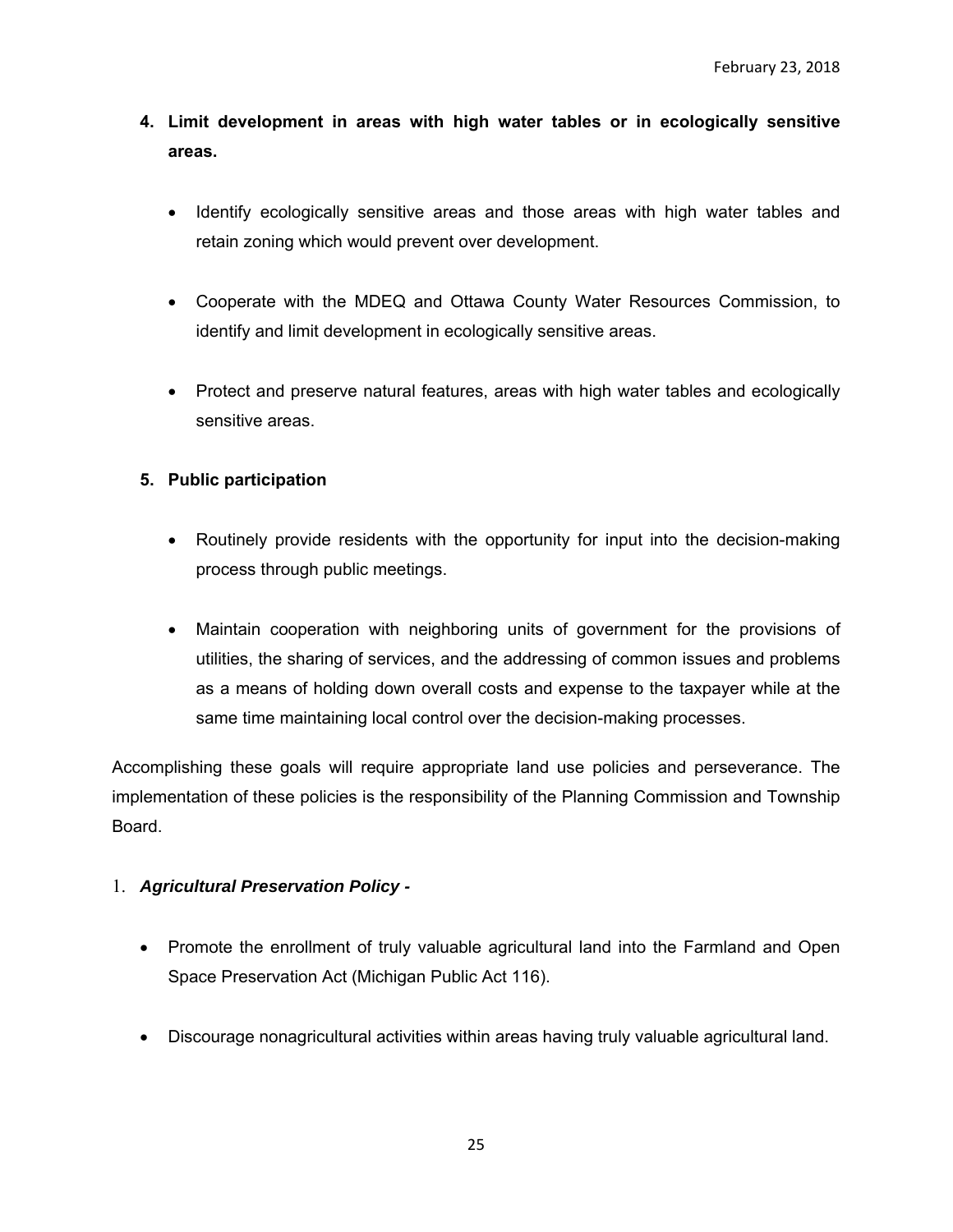- **4. Limit development in areas with high water tables or in ecologically sensitive areas.** 
	- Identify ecologically sensitive areas and those areas with high water tables and retain zoning which would prevent over development.
	- Cooperate with the MDEQ and Ottawa County Water Resources Commission, to identify and limit development in ecologically sensitive areas.
	- Protect and preserve natural features, areas with high water tables and ecologically sensitive areas.

# **5. Public participation**

- Routinely provide residents with the opportunity for input into the decision-making process through public meetings.
- Maintain cooperation with neighboring units of government for the provisions of utilities, the sharing of services, and the addressing of common issues and problems as a means of holding down overall costs and expense to the taxpayer while at the same time maintaining local control over the decision-making processes.

Accomplishing these goals will require appropriate land use policies and perseverance. The implementation of these policies is the responsibility of the Planning Commission and Township Board.

# 1. *Agricultural Preservation Policy -*

- Promote the enrollment of truly valuable agricultural land into the Farmland and Open Space Preservation Act (Michigan Public Act 116).
- Discourage nonagricultural activities within areas having truly valuable agricultural land.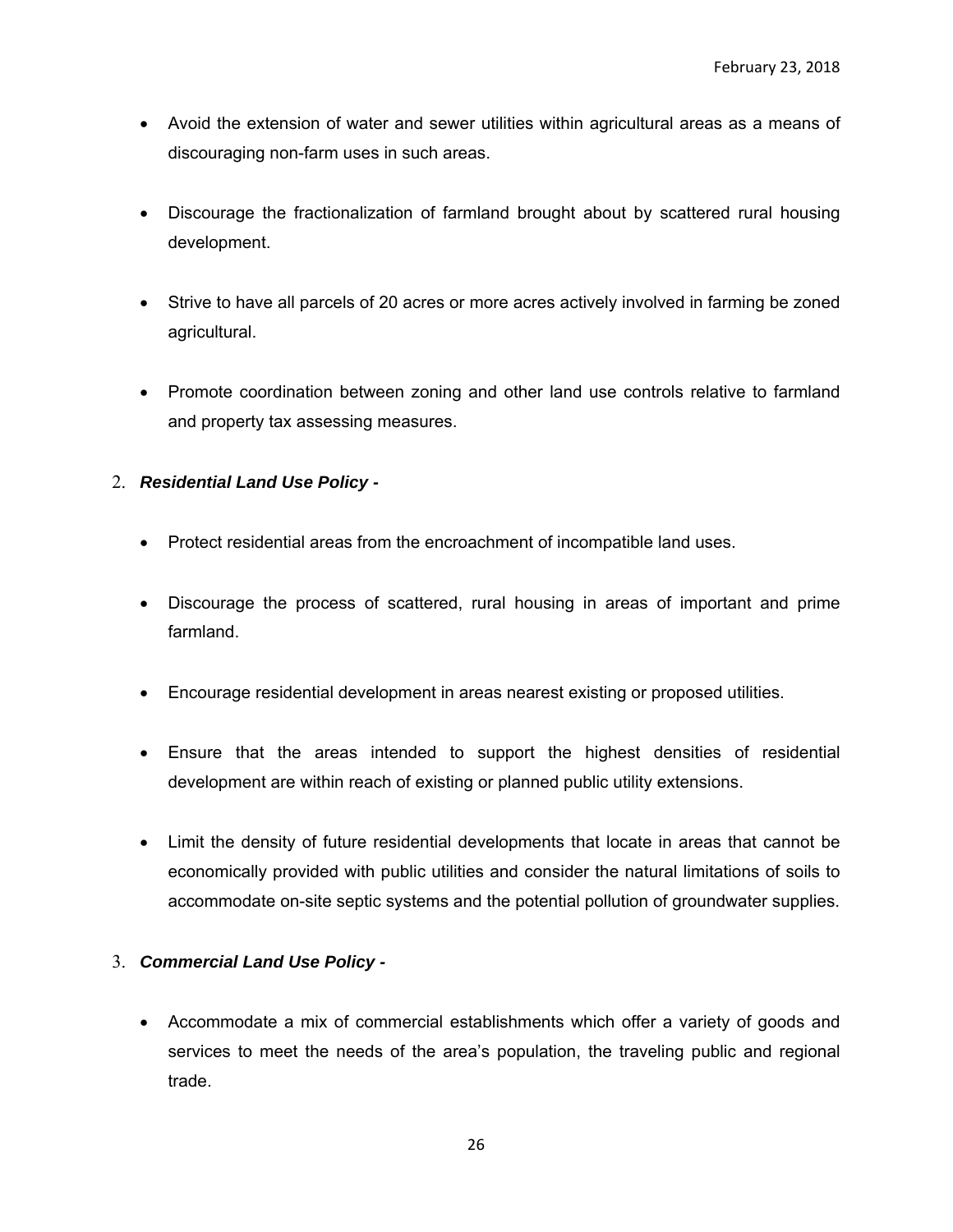- Avoid the extension of water and sewer utilities within agricultural areas as a means of discouraging non-farm uses in such areas.
- Discourage the fractionalization of farmland brought about by scattered rural housing development.
- Strive to have all parcels of 20 acres or more acres actively involved in farming be zoned agricultural.
- Promote coordination between zoning and other land use controls relative to farmland and property tax assessing measures.
- 2. *Residential Land Use Policy* 
	- Protect residential areas from the encroachment of incompatible land uses.
	- Discourage the process of scattered, rural housing in areas of important and prime farmland.
	- Encourage residential development in areas nearest existing or proposed utilities.
	- Ensure that the areas intended to support the highest densities of residential development are within reach of existing or planned public utility extensions.
	- Limit the density of future residential developments that locate in areas that cannot be economically provided with public utilities and consider the natural limitations of soils to accommodate on-site septic systems and the potential pollution of groundwater supplies.

# 3. *Commercial Land Use Policy -*

 Accommodate a mix of commercial establishments which offer a variety of goods and services to meet the needs of the area's population, the traveling public and regional trade.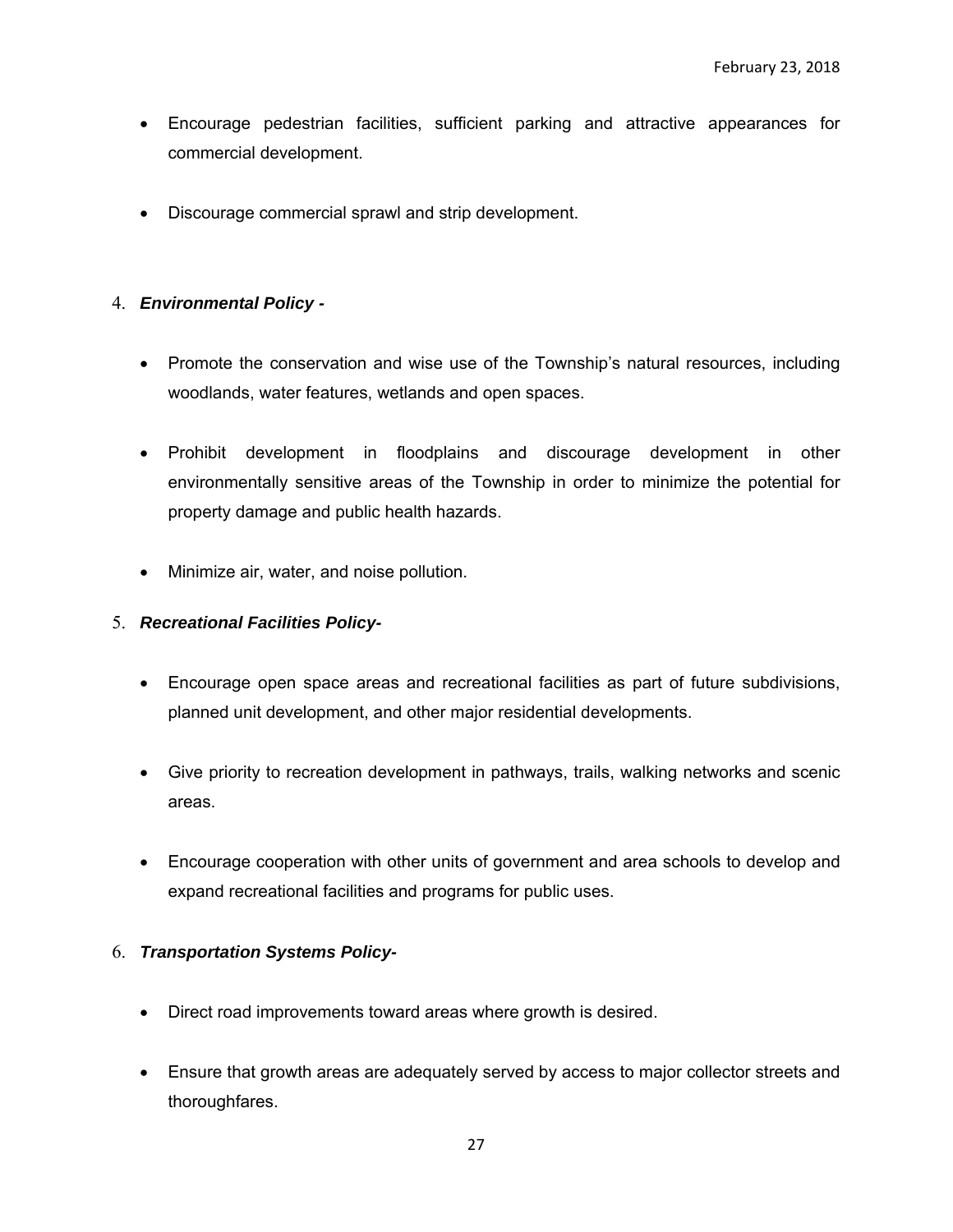- Encourage pedestrian facilities, sufficient parking and attractive appearances for commercial development.
- Discourage commercial sprawl and strip development.

# 4. *Environmental Policy -*

- Promote the conservation and wise use of the Township's natural resources, including woodlands, water features, wetlands and open spaces.
- Prohibit development in floodplains and discourage development in other environmentally sensitive areas of the Township in order to minimize the potential for property damage and public health hazards.
- Minimize air, water, and noise pollution.

# 5. *Recreational Facilities Policy-*

- Encourage open space areas and recreational facilities as part of future subdivisions, planned unit development, and other major residential developments.
- Give priority to recreation development in pathways, trails, walking networks and scenic areas.
- Encourage cooperation with other units of government and area schools to develop and expand recreational facilities and programs for public uses.

# 6. *Transportation Systems Policy-*

- Direct road improvements toward areas where growth is desired.
- Ensure that growth areas are adequately served by access to major collector streets and thoroughfares.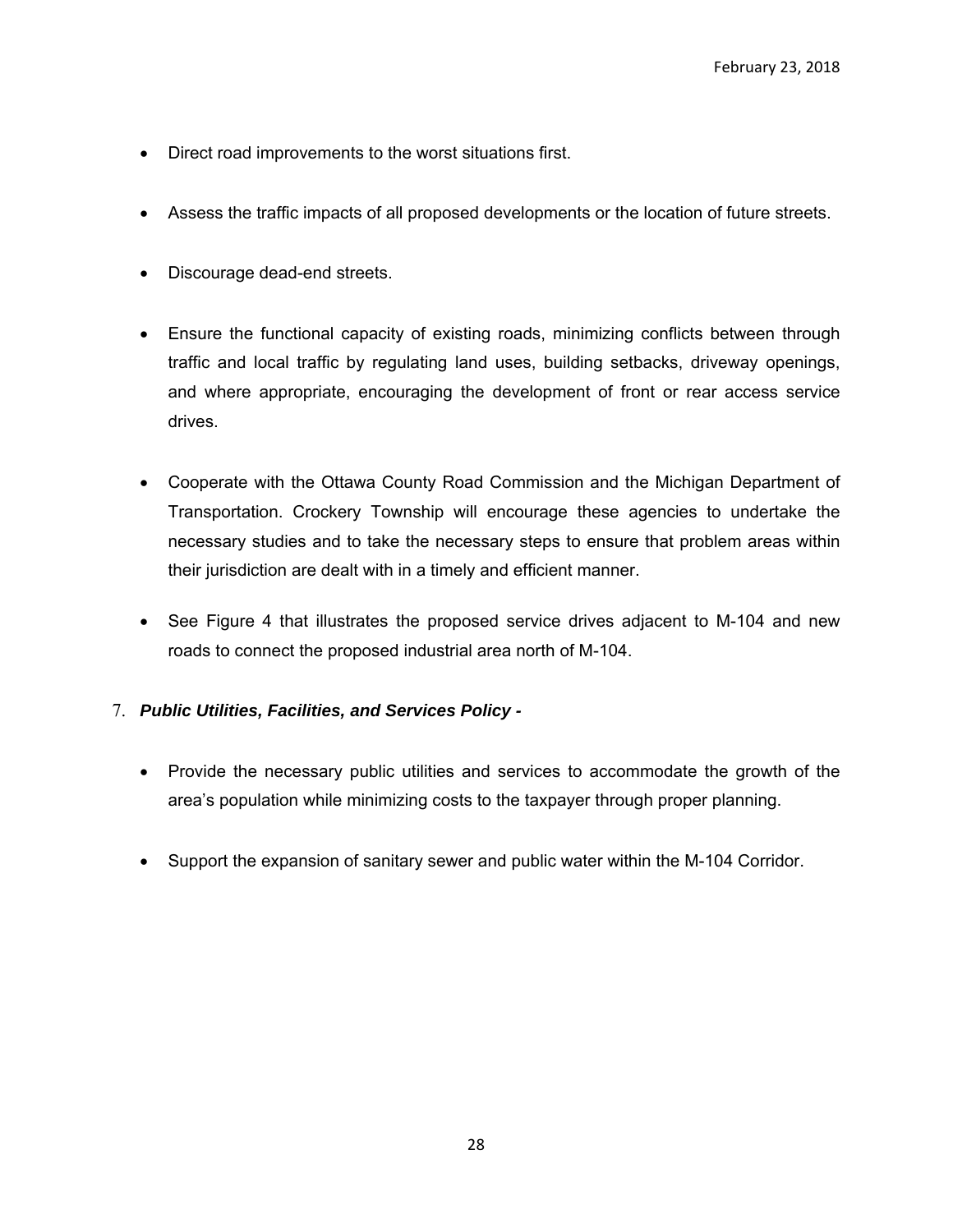- Direct road improvements to the worst situations first.
- Assess the traffic impacts of all proposed developments or the location of future streets.
- Discourage dead-end streets.
- Ensure the functional capacity of existing roads, minimizing conflicts between through traffic and local traffic by regulating land uses, building setbacks, driveway openings, and where appropriate, encouraging the development of front or rear access service drives.
- Cooperate with the Ottawa County Road Commission and the Michigan Department of Transportation. Crockery Township will encourage these agencies to undertake the necessary studies and to take the necessary steps to ensure that problem areas within their jurisdiction are dealt with in a timely and efficient manner.
- See Figure 4 that illustrates the proposed service drives adjacent to M-104 and new roads to connect the proposed industrial area north of M-104.

# 7. *Public Utilities, Facilities, and Services Policy -*

- Provide the necessary public utilities and services to accommodate the growth of the area's population while minimizing costs to the taxpayer through proper planning.
- Support the expansion of sanitary sewer and public water within the M-104 Corridor.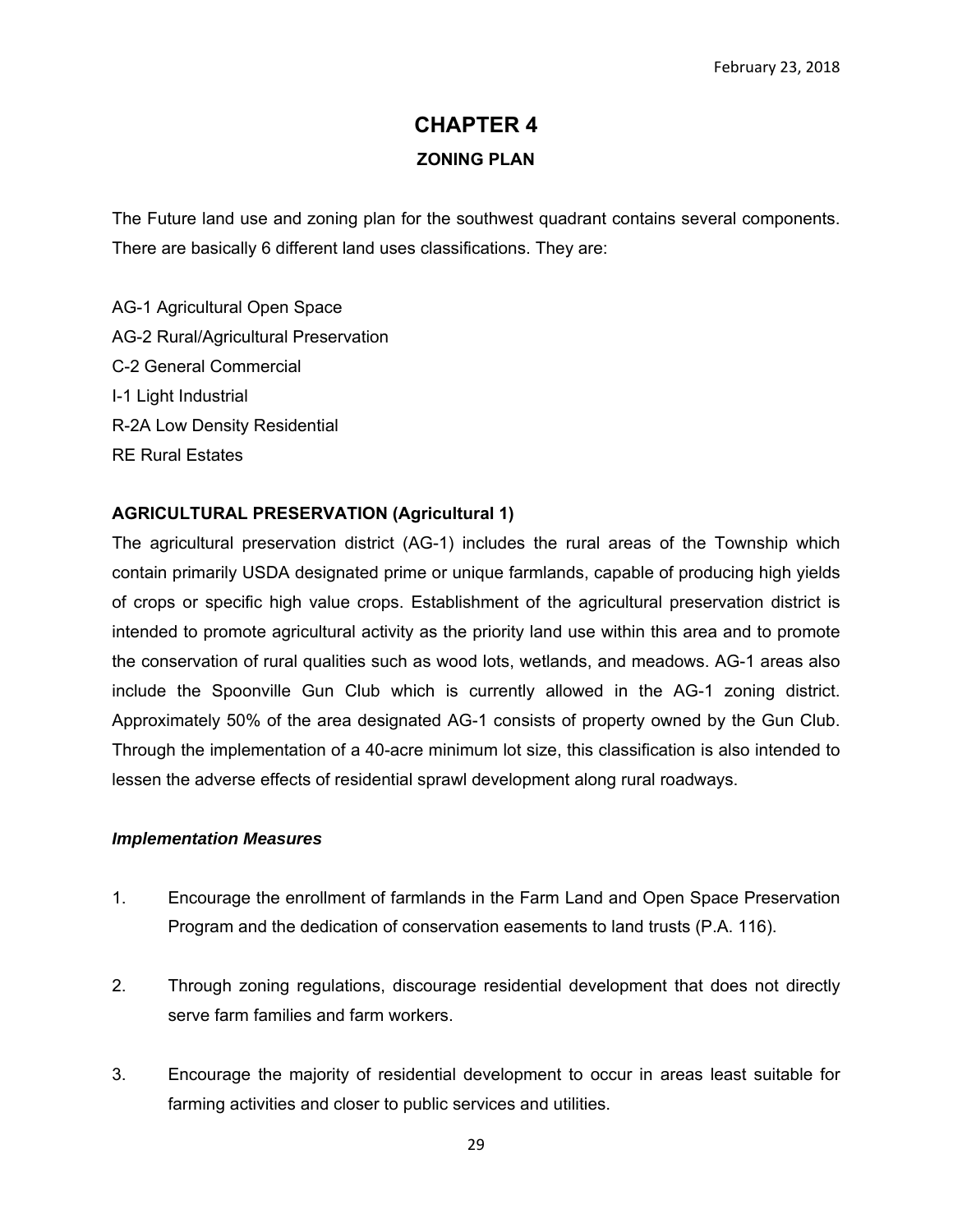# **CHAPTER 4 ZONING PLAN**

The Future land use and zoning plan for the southwest quadrant contains several components. There are basically 6 different land uses classifications. They are:

AG-1 Agricultural Open Space AG-2 Rural/Agricultural Preservation C-2 General Commercial I-1 Light Industrial R-2A Low Density Residential RE Rural Estates

### **AGRICULTURAL PRESERVATION (Agricultural 1)**

The agricultural preservation district (AG-1) includes the rural areas of the Township which contain primarily USDA designated prime or unique farmlands, capable of producing high yields of crops or specific high value crops. Establishment of the agricultural preservation district is intended to promote agricultural activity as the priority land use within this area and to promote the conservation of rural qualities such as wood lots, wetlands, and meadows. AG-1 areas also include the Spoonville Gun Club which is currently allowed in the AG-1 zoning district. Approximately 50% of the area designated AG-1 consists of property owned by the Gun Club. Through the implementation of a 40-acre minimum lot size, this classification is also intended to lessen the adverse effects of residential sprawl development along rural roadways.

#### *Implementation Measures*

- 1. Encourage the enrollment of farmlands in the Farm Land and Open Space Preservation Program and the dedication of conservation easements to land trusts (P.A. 116).
- 2. Through zoning regulations, discourage residential development that does not directly serve farm families and farm workers.
- 3. Encourage the majority of residential development to occur in areas least suitable for farming activities and closer to public services and utilities.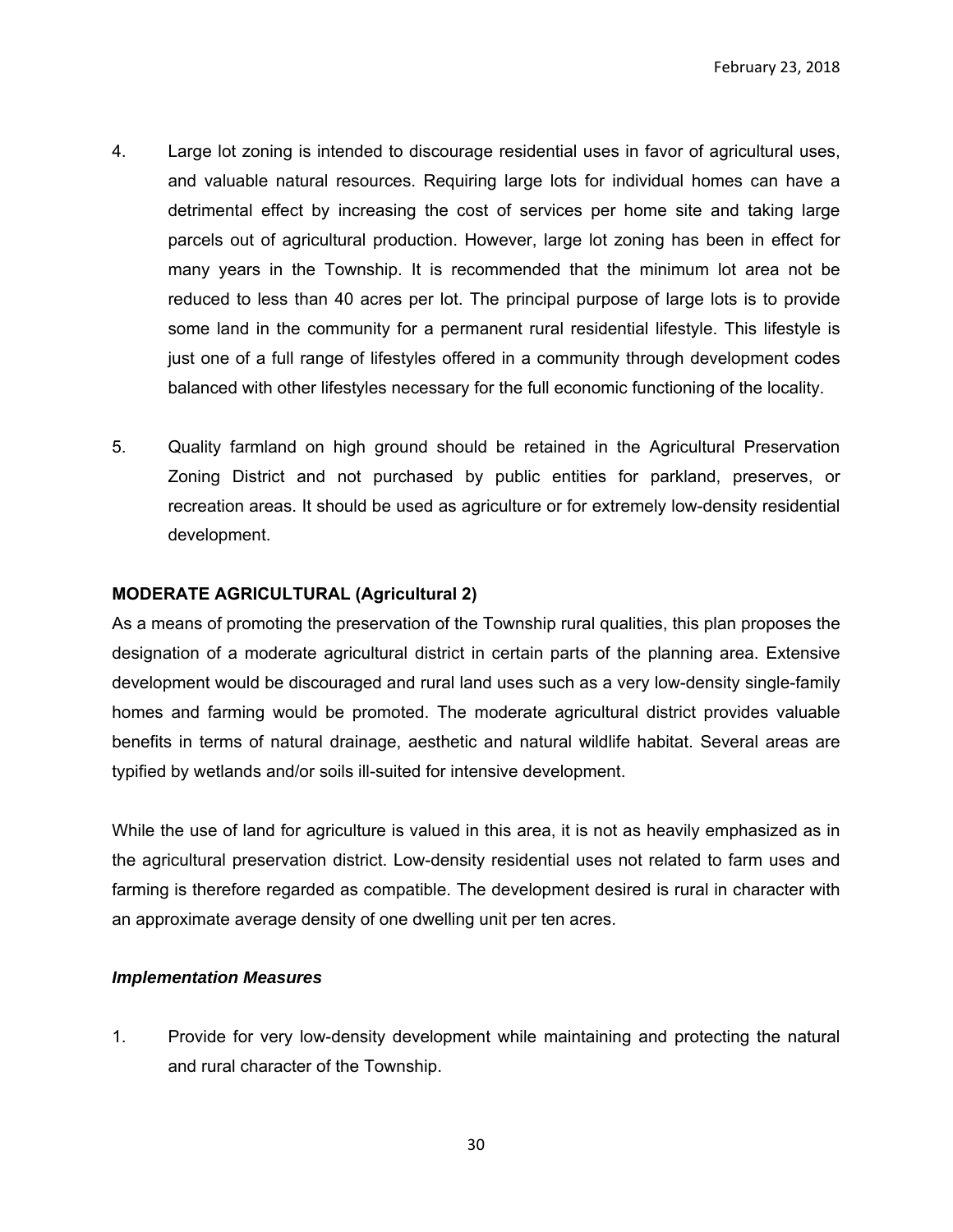- 4. Large lot zoning is intended to discourage residential uses in favor of agricultural uses, and valuable natural resources. Requiring large lots for individual homes can have a detrimental effect by increasing the cost of services per home site and taking large parcels out of agricultural production. However, large lot zoning has been in effect for many years in the Township. It is recommended that the minimum lot area not be reduced to less than 40 acres per lot. The principal purpose of large lots is to provide some land in the community for a permanent rural residential lifestyle. This lifestyle is just one of a full range of lifestyles offered in a community through development codes balanced with other lifestyles necessary for the full economic functioning of the locality.
- 5. Quality farmland on high ground should be retained in the Agricultural Preservation Zoning District and not purchased by public entities for parkland, preserves, or recreation areas. It should be used as agriculture or for extremely low-density residential development.

### **MODERATE AGRICULTURAL (Agricultural 2)**

As a means of promoting the preservation of the Township rural qualities, this plan proposes the designation of a moderate agricultural district in certain parts of the planning area. Extensive development would be discouraged and rural land uses such as a very low-density single-family homes and farming would be promoted. The moderate agricultural district provides valuable benefits in terms of natural drainage, aesthetic and natural wildlife habitat. Several areas are typified by wetlands and/or soils ill-suited for intensive development.

While the use of land for agriculture is valued in this area, it is not as heavily emphasized as in the agricultural preservation district. Low-density residential uses not related to farm uses and farming is therefore regarded as compatible. The development desired is rural in character with an approximate average density of one dwelling unit per ten acres.

#### *Implementation Measures*

1. Provide for very low-density development while maintaining and protecting the natural and rural character of the Township.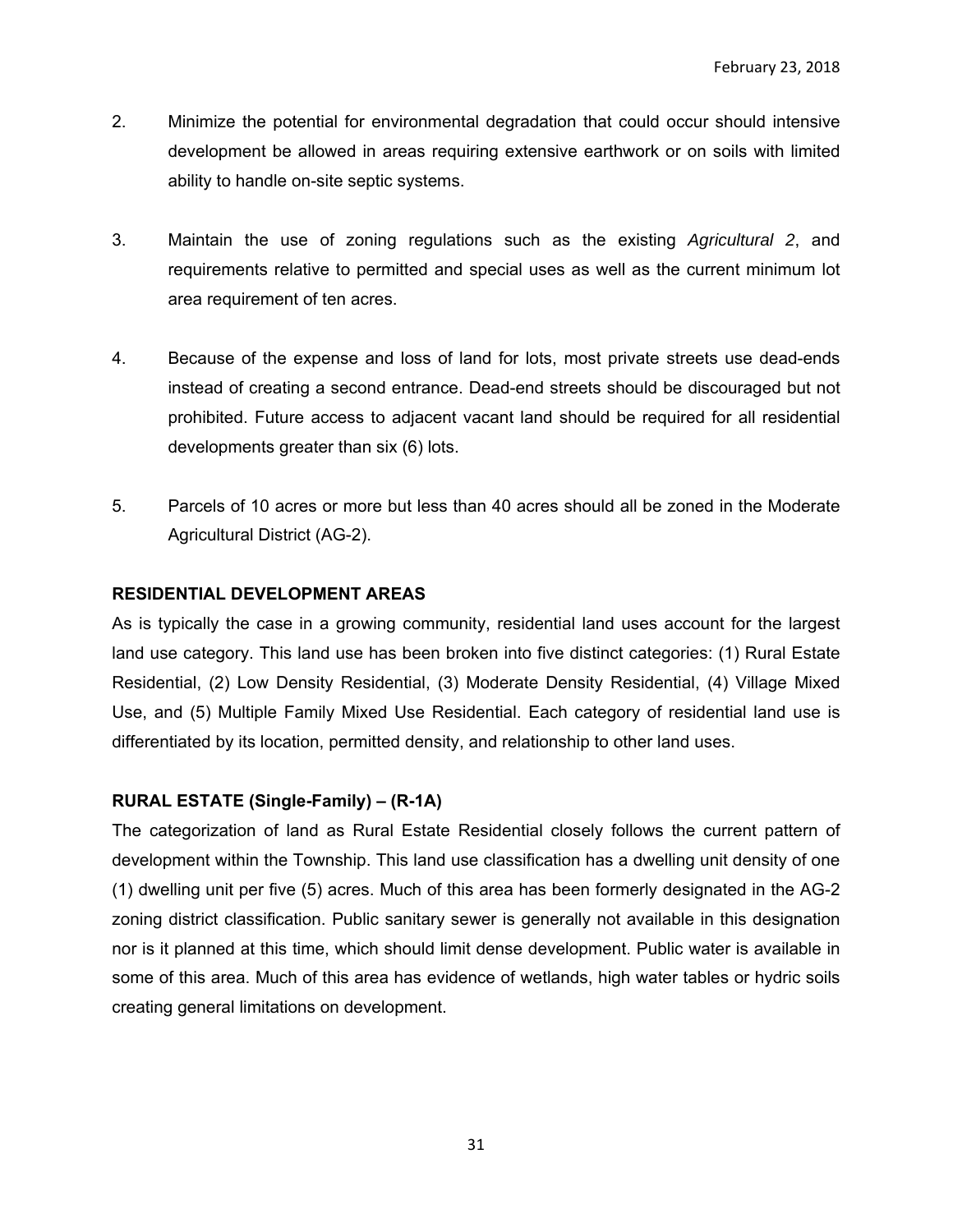- 2. Minimize the potential for environmental degradation that could occur should intensive development be allowed in areas requiring extensive earthwork or on soils with limited ability to handle on-site septic systems.
- 3. Maintain the use of zoning regulations such as the existing *Agricultural 2*, and requirements relative to permitted and special uses as well as the current minimum lot area requirement of ten acres.
- 4. Because of the expense and loss of land for lots, most private streets use dead-ends instead of creating a second entrance. Dead-end streets should be discouraged but not prohibited. Future access to adjacent vacant land should be required for all residential developments greater than six (6) lots.
- 5. Parcels of 10 acres or more but less than 40 acres should all be zoned in the Moderate Agricultural District (AG-2).

# **RESIDENTIAL DEVELOPMENT AREAS**

As is typically the case in a growing community, residential land uses account for the largest land use category. This land use has been broken into five distinct categories: (1) Rural Estate Residential, (2) Low Density Residential, (3) Moderate Density Residential, (4) Village Mixed Use, and (5) Multiple Family Mixed Use Residential. Each category of residential land use is differentiated by its location, permitted density, and relationship to other land uses.

# **RURAL ESTATE (Single-Family) – (R-1A)**

The categorization of land as Rural Estate Residential closely follows the current pattern of development within the Township. This land use classification has a dwelling unit density of one (1) dwelling unit per five (5) acres. Much of this area has been formerly designated in the AG-2 zoning district classification. Public sanitary sewer is generally not available in this designation nor is it planned at this time, which should limit dense development. Public water is available in some of this area. Much of this area has evidence of wetlands, high water tables or hydric soils creating general limitations on development.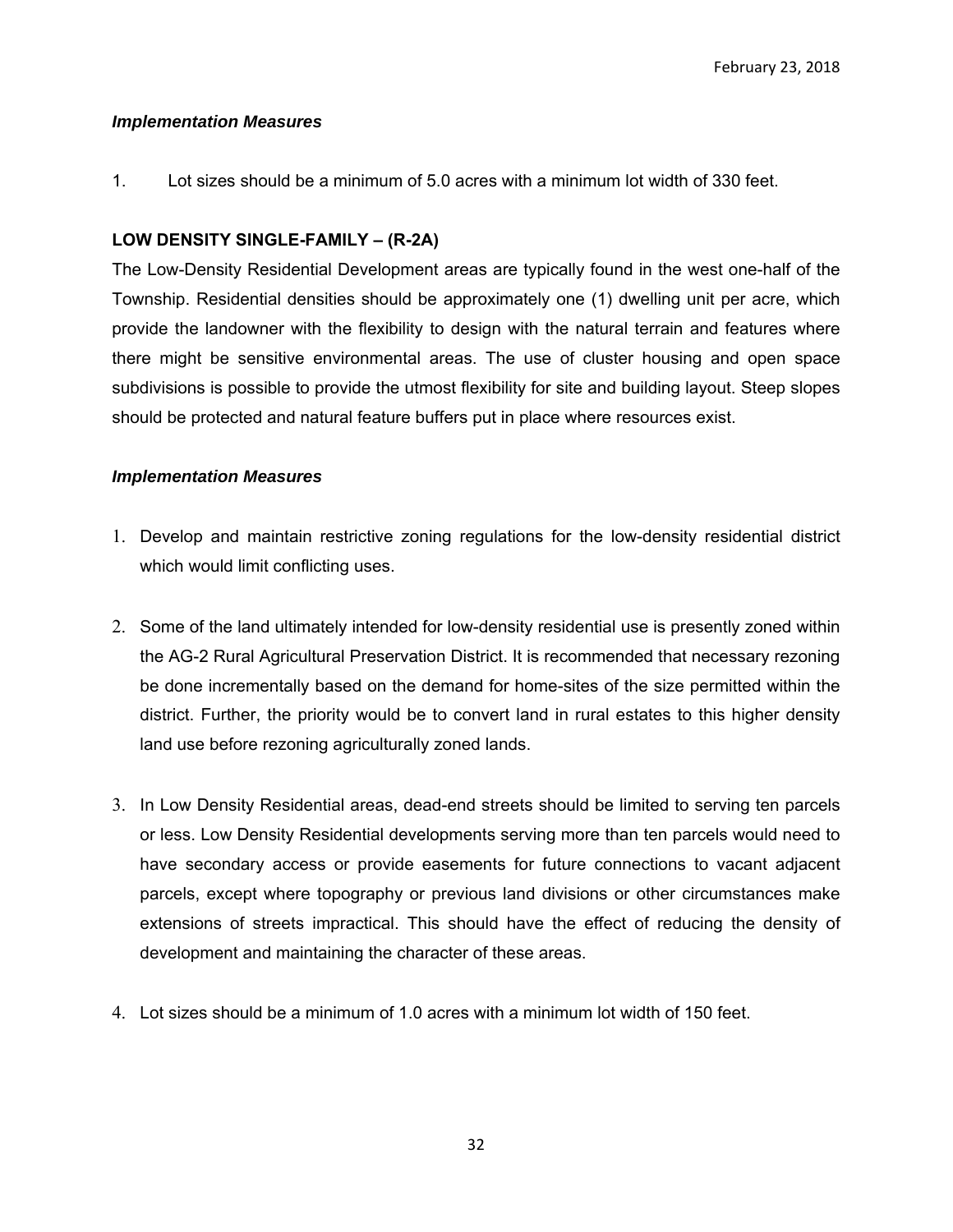#### *Implementation Measures*

1. Lot sizes should be a minimum of 5.0 acres with a minimum lot width of 330 feet.

# **LOW DENSITY SINGLE-FAMILY – (R-2A)**

The Low-Density Residential Development areas are typically found in the west one-half of the Township. Residential densities should be approximately one (1) dwelling unit per acre, which provide the landowner with the flexibility to design with the natural terrain and features where there might be sensitive environmental areas. The use of cluster housing and open space subdivisions is possible to provide the utmost flexibility for site and building layout. Steep slopes should be protected and natural feature buffers put in place where resources exist.

### *Implementation Measures*

- 1. Develop and maintain restrictive zoning regulations for the low-density residential district which would limit conflicting uses.
- 2. Some of the land ultimately intended for low-density residential use is presently zoned within the AG-2 Rural Agricultural Preservation District. It is recommended that necessary rezoning be done incrementally based on the demand for home-sites of the size permitted within the district. Further, the priority would be to convert land in rural estates to this higher density land use before rezoning agriculturally zoned lands.
- 3. In Low Density Residential areas, dead-end streets should be limited to serving ten parcels or less. Low Density Residential developments serving more than ten parcels would need to have secondary access or provide easements for future connections to vacant adjacent parcels, except where topography or previous land divisions or other circumstances make extensions of streets impractical. This should have the effect of reducing the density of development and maintaining the character of these areas.
- 4. Lot sizes should be a minimum of 1.0 acres with a minimum lot width of 150 feet.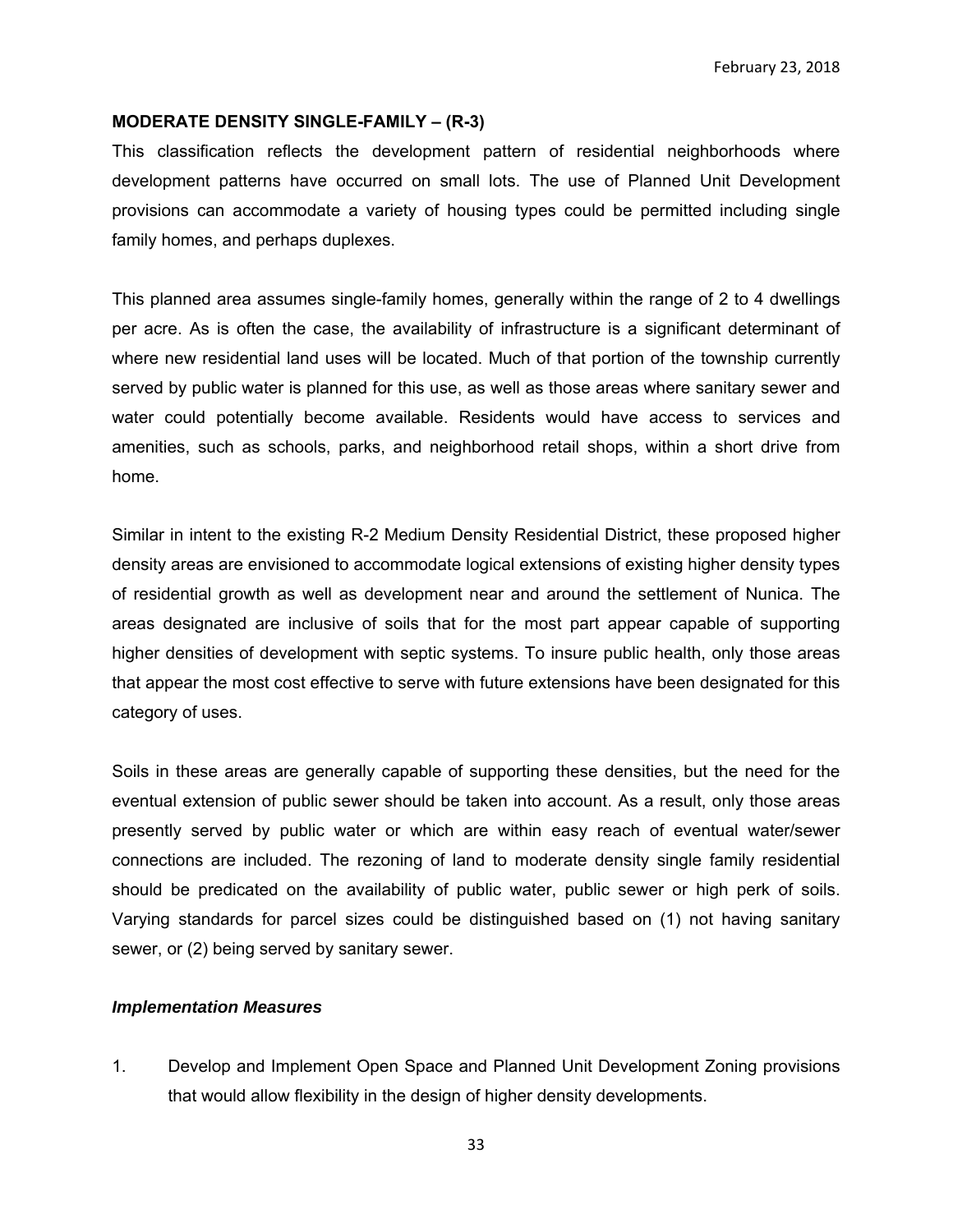#### **MODERATE DENSITY SINGLE-FAMILY – (R-3)**

This classification reflects the development pattern of residential neighborhoods where development patterns have occurred on small lots. The use of Planned Unit Development provisions can accommodate a variety of housing types could be permitted including single family homes, and perhaps duplexes.

This planned area assumes single-family homes, generally within the range of 2 to 4 dwellings per acre. As is often the case, the availability of infrastructure is a significant determinant of where new residential land uses will be located. Much of that portion of the township currently served by public water is planned for this use, as well as those areas where sanitary sewer and water could potentially become available. Residents would have access to services and amenities, such as schools, parks, and neighborhood retail shops, within a short drive from home.

Similar in intent to the existing R-2 Medium Density Residential District, these proposed higher density areas are envisioned to accommodate logical extensions of existing higher density types of residential growth as well as development near and around the settlement of Nunica. The areas designated are inclusive of soils that for the most part appear capable of supporting higher densities of development with septic systems. To insure public health, only those areas that appear the most cost effective to serve with future extensions have been designated for this category of uses.

Soils in these areas are generally capable of supporting these densities, but the need for the eventual extension of public sewer should be taken into account. As a result, only those areas presently served by public water or which are within easy reach of eventual water/sewer connections are included. The rezoning of land to moderate density single family residential should be predicated on the availability of public water, public sewer or high perk of soils. Varying standards for parcel sizes could be distinguished based on (1) not having sanitary sewer, or (2) being served by sanitary sewer.

#### *Implementation Measures*

1. Develop and Implement Open Space and Planned Unit Development Zoning provisions that would allow flexibility in the design of higher density developments.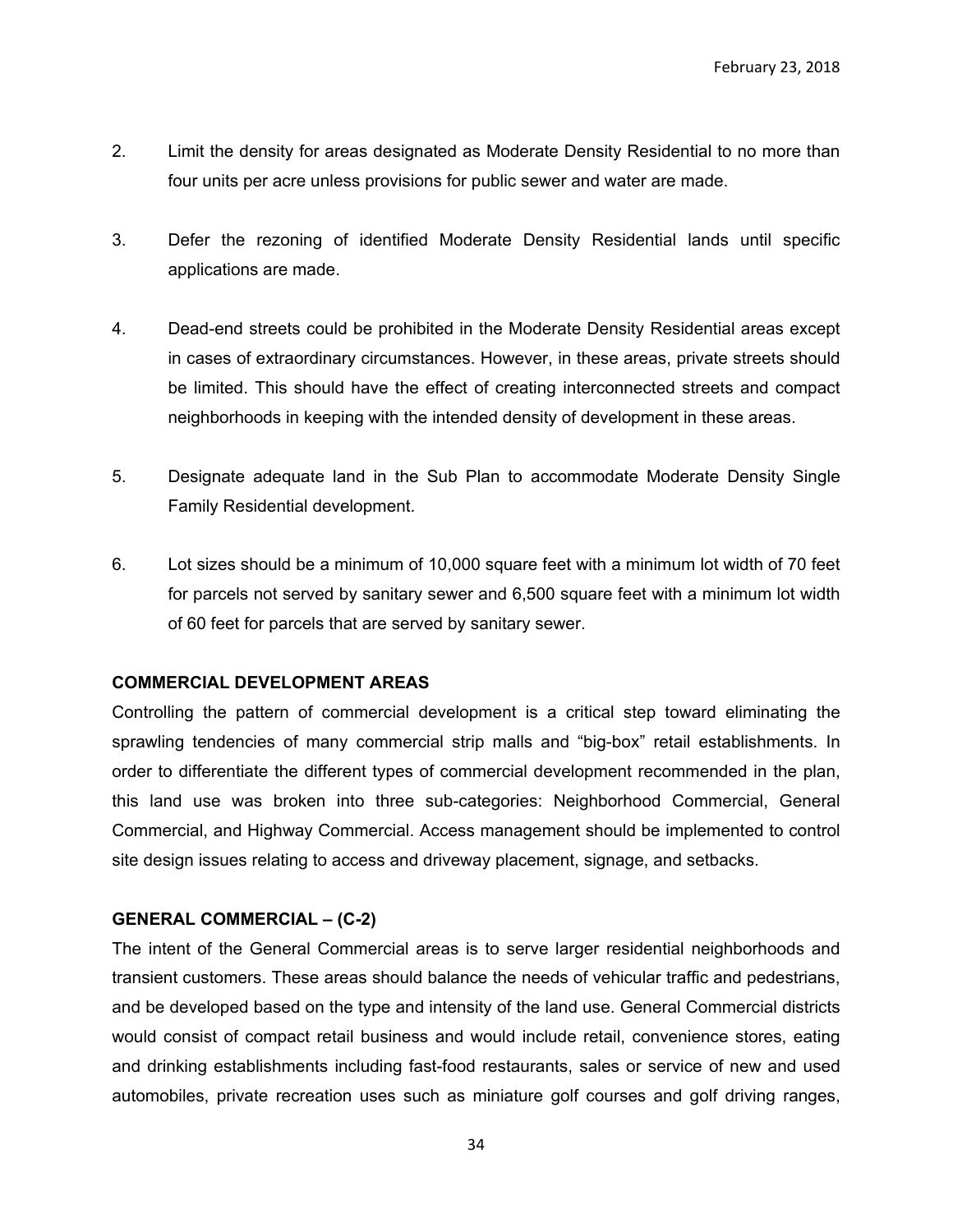- 2. Limit the density for areas designated as Moderate Density Residential to no more than four units per acre unless provisions for public sewer and water are made.
- 3. Defer the rezoning of identified Moderate Density Residential lands until specific applications are made.
- 4. Dead-end streets could be prohibited in the Moderate Density Residential areas except in cases of extraordinary circumstances. However, in these areas, private streets should be limited. This should have the effect of creating interconnected streets and compact neighborhoods in keeping with the intended density of development in these areas.
- 5. Designate adequate land in the Sub Plan to accommodate Moderate Density Single Family Residential development.
- 6. Lot sizes should be a minimum of 10,000 square feet with a minimum lot width of 70 feet for parcels not served by sanitary sewer and 6,500 square feet with a minimum lot width of 60 feet for parcels that are served by sanitary sewer.

#### **COMMERCIAL DEVELOPMENT AREAS**

Controlling the pattern of commercial development is a critical step toward eliminating the sprawling tendencies of many commercial strip malls and "big-box" retail establishments. In order to differentiate the different types of commercial development recommended in the plan, this land use was broken into three sub-categories: Neighborhood Commercial, General Commercial, and Highway Commercial. Access management should be implemented to control site design issues relating to access and driveway placement, signage, and setbacks.

#### **GENERAL COMMERCIAL – (C-2)**

The intent of the General Commercial areas is to serve larger residential neighborhoods and transient customers. These areas should balance the needs of vehicular traffic and pedestrians, and be developed based on the type and intensity of the land use. General Commercial districts would consist of compact retail business and would include retail, convenience stores, eating and drinking establishments including fast-food restaurants, sales or service of new and used automobiles, private recreation uses such as miniature golf courses and golf driving ranges,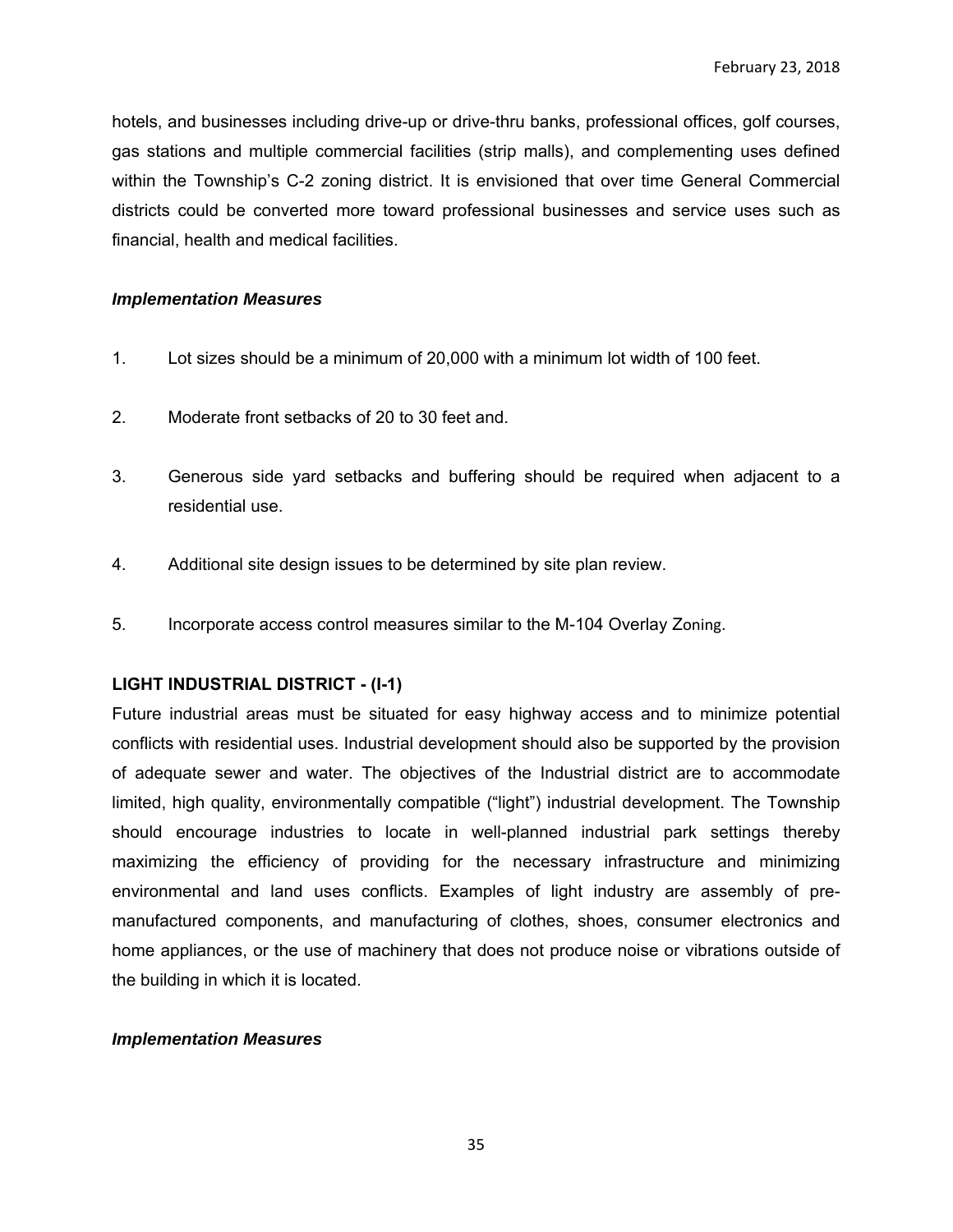hotels, and businesses including drive-up or drive-thru banks, professional offices, golf courses, gas stations and multiple commercial facilities (strip malls), and complementing uses defined within the Township's C-2 zoning district. It is envisioned that over time General Commercial districts could be converted more toward professional businesses and service uses such as financial, health and medical facilities.

#### *Implementation Measures*

- 1. Lot sizes should be a minimum of 20,000 with a minimum lot width of 100 feet.
- 2. Moderate front setbacks of 20 to 30 feet and.
- 3. Generous side yard setbacks and buffering should be required when adjacent to a residential use.
- 4. Additional site design issues to be determined by site plan review.
- 5. Incorporate access control measures similar to the M-104 Overlay Zoning.

# **LIGHT INDUSTRIAL DISTRICT - (I-1)**

Future industrial areas must be situated for easy highway access and to minimize potential conflicts with residential uses. Industrial development should also be supported by the provision of adequate sewer and water. The objectives of the Industrial district are to accommodate limited, high quality, environmentally compatible ("light") industrial development. The Township should encourage industries to locate in well-planned industrial park settings thereby maximizing the efficiency of providing for the necessary infrastructure and minimizing environmental and land uses conflicts. Examples of light industry are assembly of premanufactured components, and manufacturing of clothes, shoes, consumer electronics and home appliances, or the use of machinery that does not produce noise or vibrations outside of the building in which it is located.

#### *Implementation Measures*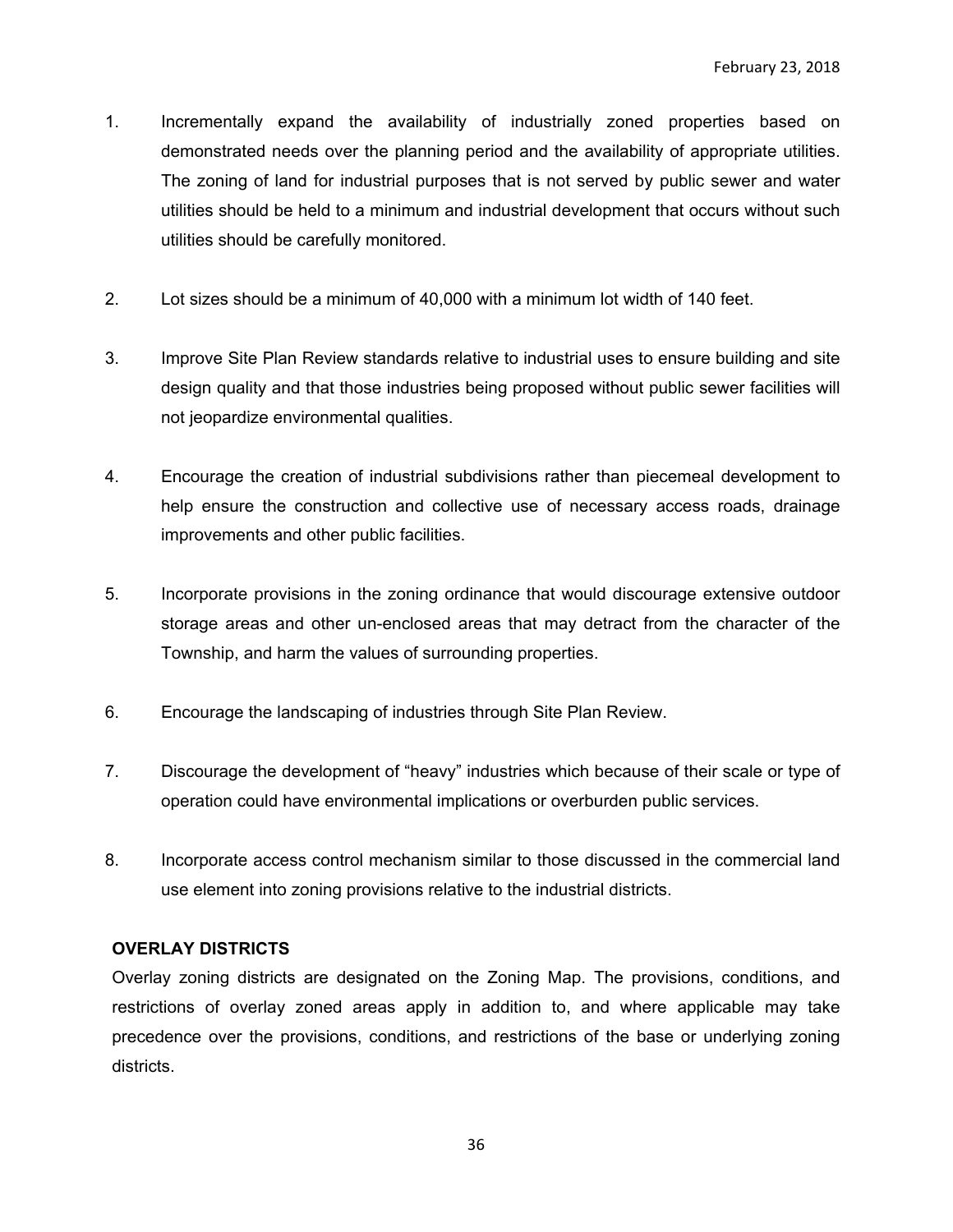- 1. Incrementally expand the availability of industrially zoned properties based on demonstrated needs over the planning period and the availability of appropriate utilities. The zoning of land for industrial purposes that is not served by public sewer and water utilities should be held to a minimum and industrial development that occurs without such utilities should be carefully monitored.
- 2. Lot sizes should be a minimum of 40,000 with a minimum lot width of 140 feet.
- 3. Improve Site Plan Review standards relative to industrial uses to ensure building and site design quality and that those industries being proposed without public sewer facilities will not jeopardize environmental qualities.
- 4. Encourage the creation of industrial subdivisions rather than piecemeal development to help ensure the construction and collective use of necessary access roads, drainage improvements and other public facilities.
- 5. Incorporate provisions in the zoning ordinance that would discourage extensive outdoor storage areas and other un-enclosed areas that may detract from the character of the Township, and harm the values of surrounding properties.
- 6. Encourage the landscaping of industries through Site Plan Review.
- 7. Discourage the development of "heavy" industries which because of their scale or type of operation could have environmental implications or overburden public services.
- 8. Incorporate access control mechanism similar to those discussed in the commercial land use element into zoning provisions relative to the industrial districts.

#### **OVERLAY DISTRICTS**

Overlay zoning districts are designated on the Zoning Map. The provisions, conditions, and restrictions of overlay zoned areas apply in addition to, and where applicable may take precedence over the provisions, conditions, and restrictions of the base or underlying zoning districts.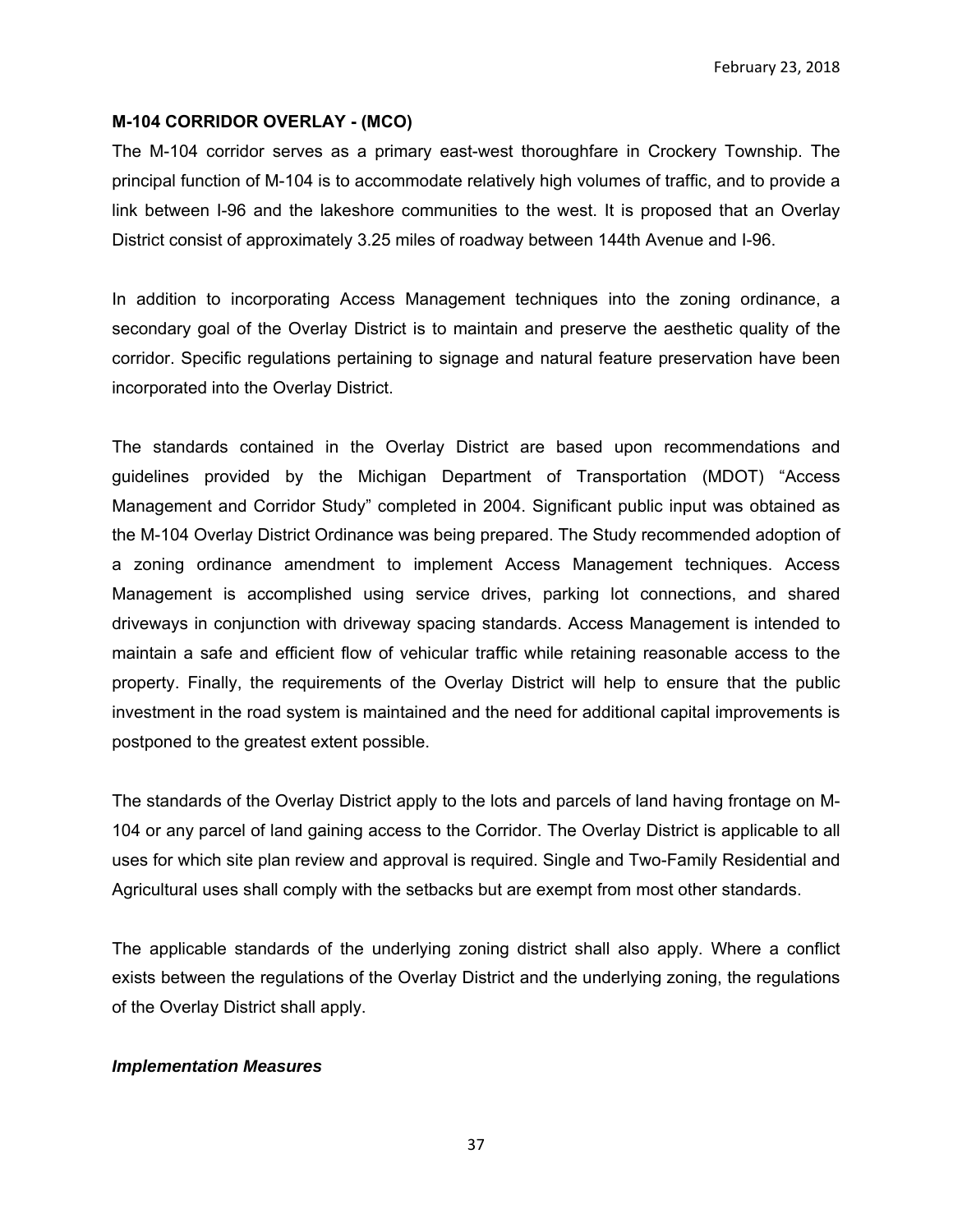February 23, 2018

#### **M-104 CORRIDOR OVERLAY - (MCO)**

The M-104 corridor serves as a primary east-west thoroughfare in Crockery Township. The principal function of M-104 is to accommodate relatively high volumes of traffic, and to provide a link between I-96 and the lakeshore communities to the west. It is proposed that an Overlay District consist of approximately 3.25 miles of roadway between 144th Avenue and I-96.

In addition to incorporating Access Management techniques into the zoning ordinance, a secondary goal of the Overlay District is to maintain and preserve the aesthetic quality of the corridor. Specific regulations pertaining to signage and natural feature preservation have been incorporated into the Overlay District.

The standards contained in the Overlay District are based upon recommendations and guidelines provided by the Michigan Department of Transportation (MDOT) "Access Management and Corridor Study" completed in 2004. Significant public input was obtained as the M-104 Overlay District Ordinance was being prepared. The Study recommended adoption of a zoning ordinance amendment to implement Access Management techniques. Access Management is accomplished using service drives, parking lot connections, and shared driveways in conjunction with driveway spacing standards. Access Management is intended to maintain a safe and efficient flow of vehicular traffic while retaining reasonable access to the property. Finally, the requirements of the Overlay District will help to ensure that the public investment in the road system is maintained and the need for additional capital improvements is postponed to the greatest extent possible.

The standards of the Overlay District apply to the lots and parcels of land having frontage on M-104 or any parcel of land gaining access to the Corridor. The Overlay District is applicable to all uses for which site plan review and approval is required. Single and Two-Family Residential and Agricultural uses shall comply with the setbacks but are exempt from most other standards.

The applicable standards of the underlying zoning district shall also apply. Where a conflict exists between the regulations of the Overlay District and the underlying zoning, the regulations of the Overlay District shall apply.

#### *Implementation Measures*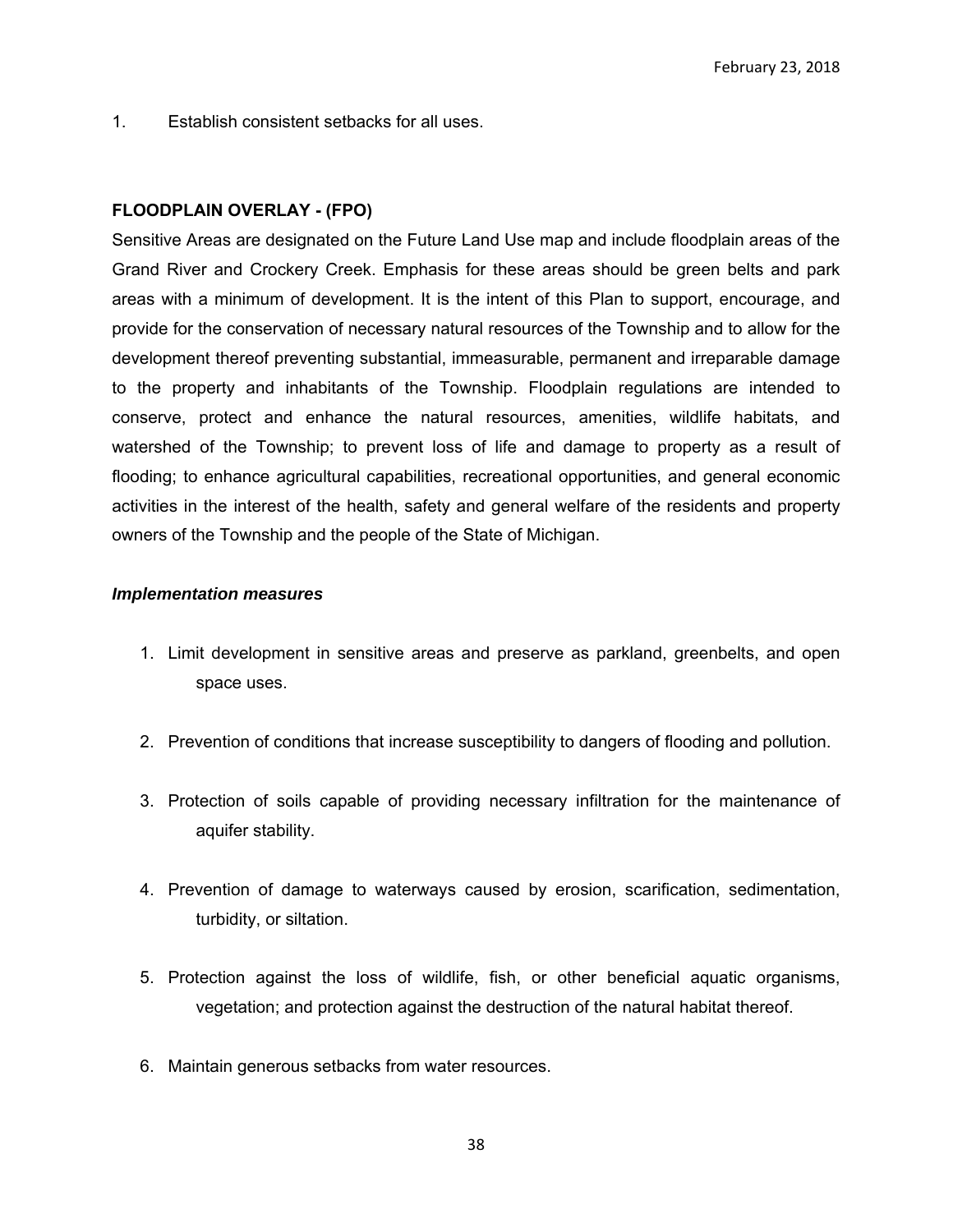1. Establish consistent setbacks for all uses.

## **FLOODPLAIN OVERLAY - (FPO)**

Sensitive Areas are designated on the Future Land Use map and include floodplain areas of the Grand River and Crockery Creek. Emphasis for these areas should be green belts and park areas with a minimum of development. It is the intent of this Plan to support, encourage, and provide for the conservation of necessary natural resources of the Township and to allow for the development thereof preventing substantial, immeasurable, permanent and irreparable damage to the property and inhabitants of the Township. Floodplain regulations are intended to conserve, protect and enhance the natural resources, amenities, wildlife habitats, and watershed of the Township; to prevent loss of life and damage to property as a result of flooding; to enhance agricultural capabilities, recreational opportunities, and general economic activities in the interest of the health, safety and general welfare of the residents and property owners of the Township and the people of the State of Michigan.

#### *Implementation measures*

- 1. Limit development in sensitive areas and preserve as parkland, greenbelts, and open space uses.
- 2. Prevention of conditions that increase susceptibility to dangers of flooding and pollution.
- 3. Protection of soils capable of providing necessary infiltration for the maintenance of aquifer stability.
- 4. Prevention of damage to waterways caused by erosion, scarification, sedimentation, turbidity, or siltation.
- 5. Protection against the loss of wildlife, fish, or other beneficial aquatic organisms, vegetation; and protection against the destruction of the natural habitat thereof.
- 6. Maintain generous setbacks from water resources.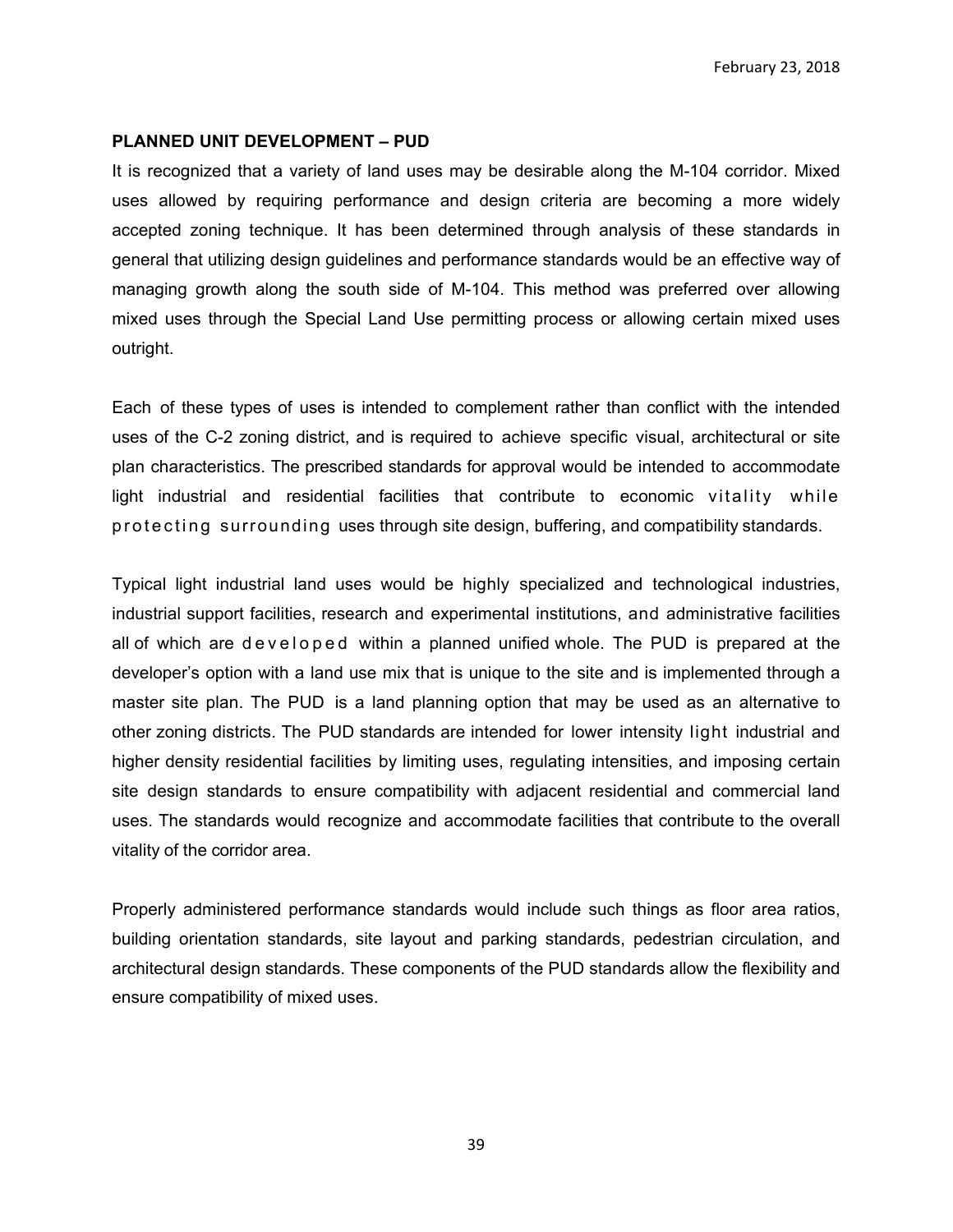February 23, 2018

#### **PLANNED UNIT DEVELOPMENT – PUD**

It is recognized that a variety of land uses may be desirable along the M-104 corridor. Mixed uses allowed by requiring performance and design criteria are becoming a more widely accepted zoning technique. It has been determined through analysis of these standards in general that utilizing design guidelines and performance standards would be an effective way of managing growth along the south side of M-104. This method was preferred over allowing mixed uses through the Special Land Use permitting process or allowing certain mixed uses outright.

Each of these types of uses is intended to complement rather than conflict with the intended uses of the C-2 zoning district, and is required to achieve specific visual, architectural or site plan characteristics. The prescribed standards for approval would be intended to accommodate light industrial and residential facilities that contribute to economic vitality while p r o t e c t in g surrounding uses through site design, buffering, and compatibility standards.

Typical light industrial land uses would be highly specialized and technological industries, industrial support facilities, research and experimental institutions, and administrative facilities all of which are developed within a planned unified whole. The PUD is prepared at the developer's option with a land use mix that is unique to the site and is implemented through a master site plan. The PUD is a land planning option that may be used as an alternative to other zoning districts. The PUD standards are intended for lower intensity light industrial and higher density residential facilities by limiting uses, regulating intensities, and imposing certain site design standards to ensure compatibility with adjacent residential and commercial land uses. The standards would recognize and accommodate facilities that contribute to the overall vitality of the corridor area.

Properly administered performance standards would include such things as floor area ratios, building orientation standards, site layout and parking standards, pedestrian circulation, and architectural design standards. These components of the PUD standards allow the flexibility and ensure compatibility of mixed uses.